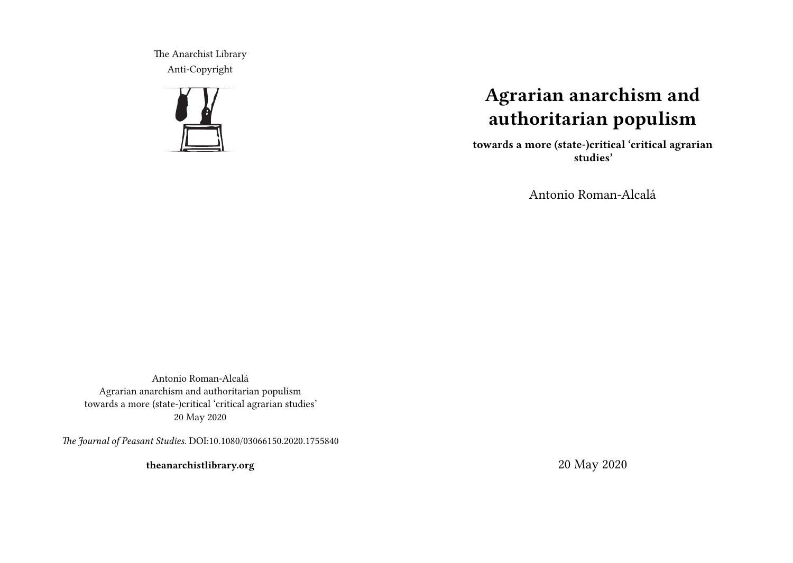The Anarchist Library Anti-Copyright



# **Agrarian anarchism and authoritarian populism**

**towards a more (state-)critical 'critical agrarian studies'**

Antonio Roman-Alcalá

Antonio Roman-Alcalá Agrarian anarchism and authoritarian populism towards a more (state-)critical 'critical agrarian studies' 20 May 2020

*The Journal of Peasant Studies*. DOI:10.1080/03066150.2020.1755840

**theanarchistlibrary.org**

20 May 2020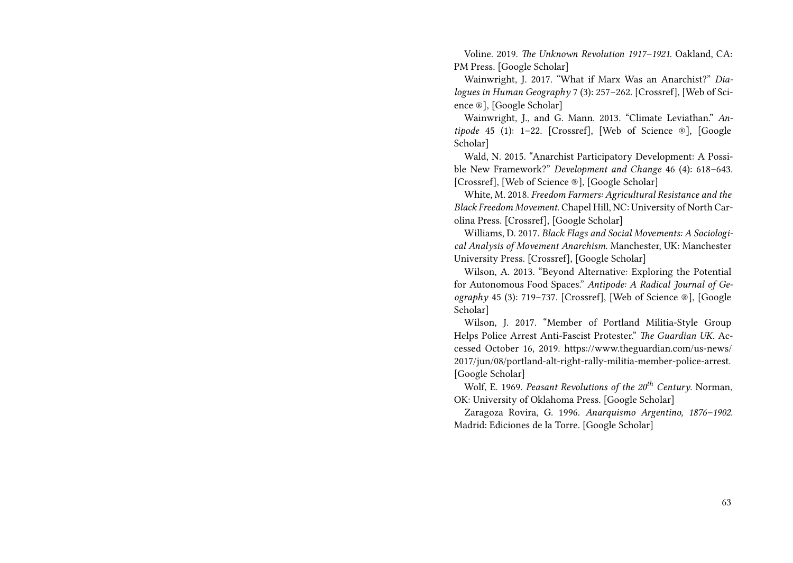Voline. 2019. *The Unknown Revolution 1917–1921*. Oakland, CA: PM Press. [Google Scholar]

Wainwright, J. 2017. "What if Marx Was an Anarchist?" *Dialogues in Human Geography* 7 (3): 257–262. [Crossref], [Web of Science ®], [Google Scholar]

Wainwright, J., and G. Mann. 2013. "Climate Leviathan." *Antipode* 45 (1): 1–22. [Crossref], [Web of Science ®], [Google Scholar]

Wald, N. 2015. "Anarchist Participatory Development: A Possible New Framework?" *Development and Change* 46 (4): 618–643. [Crossref], [Web of Science ®], [Google Scholar]

White, M. 2018. *Freedom Farmers: Agricultural Resistance and the Black Freedom Movement*. Chapel Hill, NC: University of North Carolina Press. [Crossref], [Google Scholar]

Williams, D. 2017. *Black Flags and Social Movements: A Sociological Analysis of Movement Anarchism*. Manchester, UK: Manchester University Press. [Crossref], [Google Scholar]

Wilson, A. 2013. "Beyond Alternative: Exploring the Potential for Autonomous Food Spaces." *Antipode: A Radical Journal of Geography* 45 (3): 719–737. [Crossref], [Web of Science ®], [Google Scholar]

Wilson, J. 2017. "Member of Portland Militia-Style Group Helps Police Arrest Anti-Fascist Protester." *The Guardian UK*. Accessed October 16, 2019. https://www.theguardian.com/us-news/ 2017/jun/08/portland-alt-right-rally-militia-member-police-arrest. [Google Scholar]

Wolf, E. 1969. *Peasant Revolutions of the 20th Century*. Norman, OK: University of Oklahoma Press. [Google Scholar]

Zaragoza Rovira, G. 1996. *Anarquismo Argentino, 1876–1902*. Madrid: Ediciones de la Torre. [Google Scholar]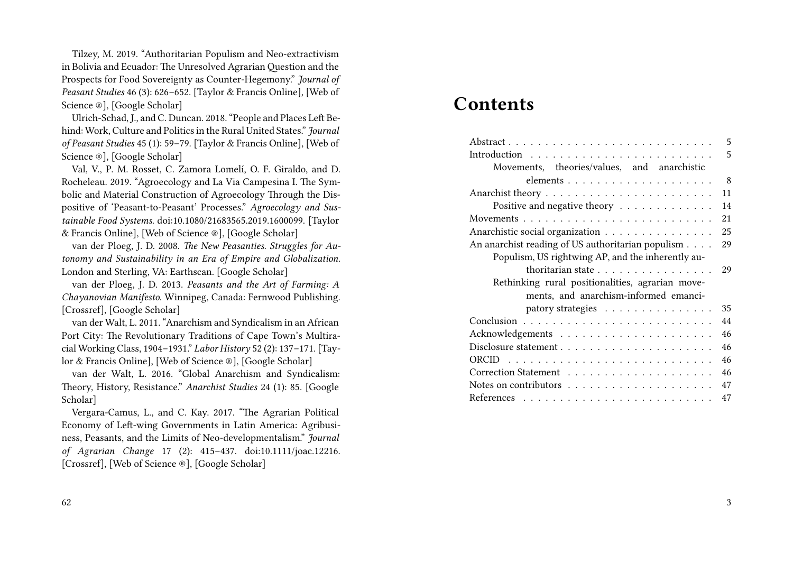Tilzey, M. 2019. "Authoritarian Populism and Neo-extractivism in Bolivia and Ecuador: The Unresolved Agrarian Question and the Prospects for Food Sovereignty as Counter-Hegemony." *Journal of Peasant Studies* 46 (3): 626–652. [Taylor & Francis Online], [Web of Science ®], [Google Scholar]

Ulrich-Schad, J., and C. Duncan. 2018. "People and Places Left Behind: Work, Culture and Politics in the Rural United States." *Journal of Peasant Studies* 45 (1): 59–79. [Taylor & Francis Online], [Web of Science ®], [Google Scholar]

Val, V., P. M. Rosset, C. Zamora Lomelí, O. F. Giraldo, and D. Rocheleau. 2019. "Agroecology and La Via Campesina I. The Symbolic and Material Construction of Agroecology Through the Dispositive of 'Peasant-to-Peasant' Processes." *Agroecology and Sustainable Food Systems*. doi:10.1080/21683565.2019.1600099. [Taylor & Francis Online], [Web of Science ®], [Google Scholar]

van der Ploeg, J. D. 2008. *The New Peasanties. Struggles for Autonomy and Sustainability in an Era of Empire and Globalization*. London and Sterling, VA: Earthscan. [Google Scholar]

van der Ploeg, J. D. 2013. *Peasants and the Art of Farming: A Chayanovian Manifesto*. Winnipeg, Canada: Fernwood Publishing. [Crossref], [Google Scholar]

van der Walt, L. 2011. "Anarchism and Syndicalism in an African Port City: The Revolutionary Traditions of Cape Town's Multiracial Working Class, 1904–1931." *Labor History* 52 (2): 137–171. [Taylor & Francis Online], [Web of Science ®], [Google Scholar]

van der Walt, L. 2016. "Global Anarchism and Syndicalism: Theory, History, Resistance." *Anarchist Studies* 24 (1): 85. [Google Scholar]

Vergara-Camus, L., and C. Kay. 2017. "The Agrarian Political Economy of Left-wing Governments in Latin America: Agribusiness, Peasants, and the Limits of Neo-developmentalism." *Journal of Agrarian Change* 17 (2): 415–437. doi:10.1111/joac.12216. [Crossref], [Web of Science ®], [Google Scholar]

# **Contents**

|                                                   | 5                                            |
|---------------------------------------------------|----------------------------------------------|
|                                                   | 5                                            |
| Movements, theories/values, and anarchistic       |                                              |
|                                                   | 8                                            |
|                                                   | 11                                           |
| Positive and negative theory                      | 14                                           |
|                                                   | 21                                           |
| Anarchistic social organization                   | 25                                           |
| An anarchist reading of US authoritarian populism | 29                                           |
| Populism, US rightwing AP, and the inherently au- |                                              |
| thoritarian state                                 | 29                                           |
| Rethinking rural positionalities, agrarian move-  | 35<br>44<br>46<br>46<br>46<br>46<br>47<br>47 |
| ments, and anarchism-informed emanci-             |                                              |
| patory strategies                                 |                                              |
|                                                   |                                              |
|                                                   |                                              |
|                                                   |                                              |
|                                                   |                                              |
|                                                   |                                              |
|                                                   |                                              |
|                                                   |                                              |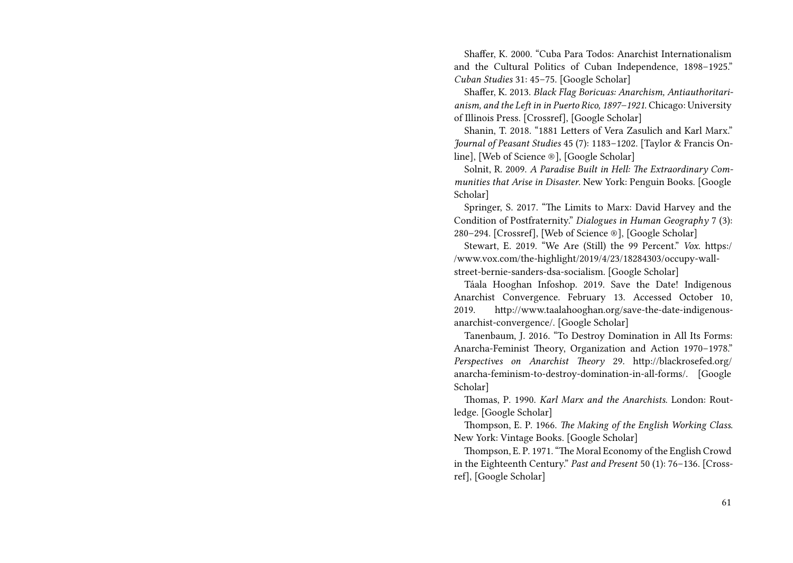Shaffer, K. 2000. "Cuba Para Todos: Anarchist Internationalism and the Cultural Politics of Cuban Independence, 1898–1925." *Cuban Studies* 31: 45–75. [Google Scholar]

Shaffer, K. 2013. *Black Flag Boricuas: Anarchism, Antiauthoritarianism, and the Left in in Puerto Rico, 1897–1921*. Chicago: University of Illinois Press. [Crossref], [Google Scholar]

Shanin, T. 2018. "1881 Letters of Vera Zasulich and Karl Marx." *Journal of Peasant Studies* 45 (7): 1183–1202. [Taylor & Francis Online], [Web of Science ®], [Google Scholar]

Solnit, R. 2009. *A Paradise Built in Hell: The Extraordinary Communities that Arise in Disaster*. New York: Penguin Books. [Google Scholar]

Springer, S. 2017. "The Limits to Marx: David Harvey and the Condition of Postfraternity." *Dialogues in Human Geography* 7 (3): 280–294. [Crossref], [Web of Science ®], [Google Scholar]

Stewart, E. 2019. "We Are (Still) the 99 Percent." *Vox*. https:/ /www.vox.com/the-highlight/2019/4/23/18284303/occupy-wallstreet-bernie-sanders-dsa-socialism. [Google Scholar]

Táala Hooghan Infoshop. 2019. Save the Date! Indigenous Anarchist Convergence. February 13. Accessed October 10, 2019. http://www.taalahooghan.org/save-the-date-indigenousanarchist-convergence/. [Google Scholar]

Tanenbaum, J. 2016. "To Destroy Domination in All Its Forms: Anarcha-Feminist Theory, Organization and Action 1970–1978." *Perspectives on Anarchist Theory* 29. http://blackrosefed.org/ anarcha-feminism-to-destroy-domination-in-all-forms/. [Google Scholar]

Thomas, P. 1990. *Karl Marx and the Anarchists*. London: Routledge. [Google Scholar]

Thompson, E. P. 1966. *The Making of the English Working Class*. New York: Vintage Books. [Google Scholar]

Thompson, E. P. 1971. "The Moral Economy of the English Crowd in the Eighteenth Century." *Past and Present* 50 (1): 76–136. [Crossref], [Google Scholar]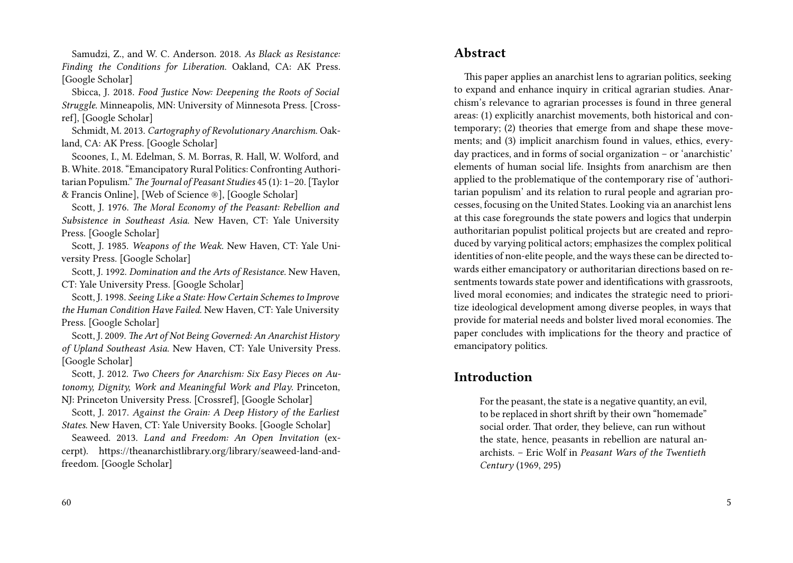Samudzi, Z., and W. C. Anderson. 2018. *As Black as Resistance: Finding the Conditions for Liberation*. Oakland, CA: AK Press. [Google Scholar]

Sbicca, J. 2018. *Food Justice Now: Deepening the Roots of Social Struggle*. Minneapolis, MN: University of Minnesota Press. [Crossref], [Google Scholar]

Schmidt, M. 2013. *Cartography of Revolutionary Anarchism*. Oakland, CA: AK Press. [Google Scholar]

Scoones, I., M. Edelman, S. M. Borras, R. Hall, W. Wolford, and B. White. 2018. "Emancipatory Rural Politics: Confronting Authoritarian Populism." *The Journal of Peasant Studies* 45 (1): 1–20. [Taylor & Francis Online], [Web of Science ®], [Google Scholar]

Scott, J. 1976. *The Moral Economy of the Peasant: Rebellion and Subsistence in Southeast Asia*. New Haven, CT: Yale University Press. [Google Scholar]

Scott, J. 1985. *Weapons of the Weak*. New Haven, CT: Yale University Press. [Google Scholar]

Scott, J. 1992. *Domination and the Arts of Resistance*. New Haven, CT: Yale University Press. [Google Scholar]

Scott, J. 1998. *Seeing Like a State: How Certain Schemes to Improve the Human Condition Have Failed*. New Haven, CT: Yale University Press. [Google Scholar]

Scott, J. 2009. *The Art of Not Being Governed: An Anarchist History of Upland Southeast Asia*. New Haven, CT: Yale University Press. [Google Scholar]

Scott, J. 2012. *Two Cheers for Anarchism: Six Easy Pieces on Autonomy, Dignity, Work and Meaningful Work and Play*. Princeton, NJ: Princeton University Press. [Crossref], [Google Scholar]

Scott, J. 2017. *Against the Grain: A Deep History of the Earliest States*. New Haven, CT: Yale University Books. [Google Scholar]

Seaweed. 2013. *Land and Freedom: An Open Invitation* (excerpt). https://theanarchistlibrary.org/library/seaweed-land-andfreedom. [Google Scholar]

#### **Abstract**

This paper applies an anarchist lens to agrarian politics, seeking to expand and enhance inquiry in critical agrarian studies. Anarchism's relevance to agrarian processes is found in three general areas: (1) explicitly anarchist movements, both historical and contemporary; (2) theories that emerge from and shape these movements; and (3) implicit anarchism found in values, ethics, everyday practices, and in forms of social organization – or 'anarchistic' elements of human social life. Insights from anarchism are then applied to the problematique of the contemporary rise of 'authoritarian populism' and its relation to rural people and agrarian processes, focusing on the United States. Looking via an anarchist lens at this case foregrounds the state powers and logics that underpin authoritarian populist political projects but are created and reproduced by varying political actors; emphasizes the complex political identities of non-elite people, and the ways these can be directed towards either emancipatory or authoritarian directions based on resentments towards state power and identifications with grassroots, lived moral economies; and indicates the strategic need to prioritize ideological development among diverse peoples, in ways that provide for material needs and bolster lived moral economies. The paper concludes with implications for the theory and practice of emancipatory politics.

# **Introduction**

For the peasant, the state is a negative quantity, an evil, to be replaced in short shrift by their own "homemade" social order. That order, they believe, can run without the state, hence, peasants in rebellion are natural anarchists. – Eric Wolf in *Peasant Wars of the Twentieth Century* (1969, 295)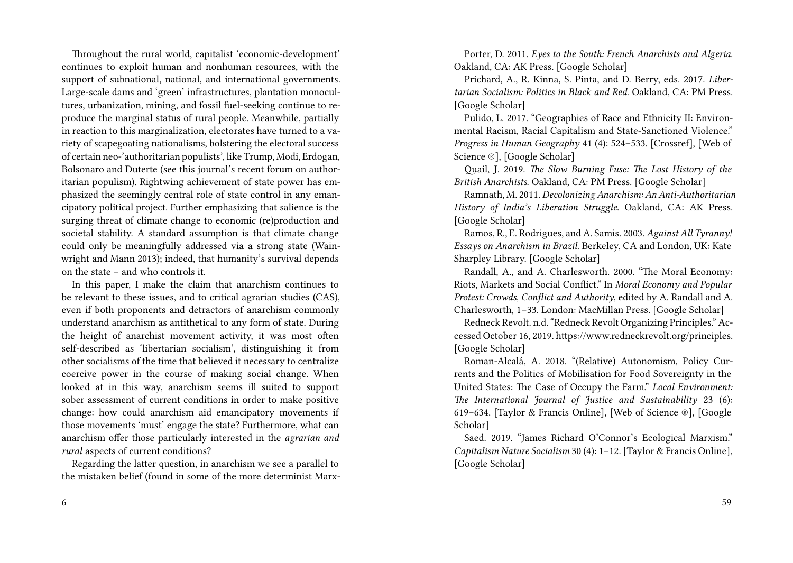Throughout the rural world, capitalist 'economic-development' continues to exploit human and nonhuman resources, with the support of subnational, national, and international governments. Large-scale dams and 'green' infrastructures, plantation monocultures, urbanization, mining, and fossil fuel-seeking continue to reproduce the marginal status of rural people. Meanwhile, partially in reaction to this marginalization, electorates have turned to a variety of scapegoating nationalisms, bolstering the electoral success of certain neo-'authoritarian populists', like Trump, Modi, Erdogan, Bolsonaro and Duterte (see this journal's recent forum on authoritarian populism). Rightwing achievement of state power has emphasized the seemingly central role of state control in any emancipatory political project. Further emphasizing that salience is the surging threat of climate change to economic (re)production and societal stability. A standard assumption is that climate change could only be meaningfully addressed via a strong state (Wainwright and Mann 2013); indeed, that humanity's survival depends on the state – and who controls it.

In this paper, I make the claim that anarchism continues to be relevant to these issues, and to critical agrarian studies (CAS), even if both proponents and detractors of anarchism commonly understand anarchism as antithetical to any form of state. During the height of anarchist movement activity, it was most often self-described as 'libertarian socialism', distinguishing it from other socialisms of the time that believed it necessary to centralize coercive power in the course of making social change. When looked at in this way, anarchism seems ill suited to support sober assessment of current conditions in order to make positive change: how could anarchism aid emancipatory movements if those movements 'must' engage the state? Furthermore, what can anarchism offer those particularly interested in the *agrarian and rural* aspects of current conditions?

Regarding the latter question, in anarchism we see a parallel to the mistaken belief (found in some of the more determinist Marx-

Porter, D. 2011. *Eyes to the South: French Anarchists and Algeria*. Oakland, CA: AK Press. [Google Scholar]

Prichard, A., R. Kinna, S. Pinta, and D. Berry, eds. 2017. *Libertarian Socialism: Politics in Black and Red*. Oakland, CA: PM Press. [Google Scholar]

Pulido, L. 2017. "Geographies of Race and Ethnicity II: Environmental Racism, Racial Capitalism and State-Sanctioned Violence." *Progress in Human Geography* 41 (4): 524–533. [Crossref], [Web of Science ®], [Google Scholar]

Quail, J. 2019. *The Slow Burning Fuse: The Lost History of the British Anarchists*. Oakland, CA: PM Press. [Google Scholar]

Ramnath, M. 2011. *Decolonizing Anarchism: An Anti-Authoritarian History of India's Liberation Struggle*. Oakland, CA: AK Press. [Google Scholar]

Ramos, R., E. Rodrigues, and A. Samis. 2003. *Against All Tyranny! Essays on Anarchism in Brazil*. Berkeley, CA and London, UK: Kate Sharpley Library. [Google Scholar]

Randall, A., and A. Charlesworth. 2000. "The Moral Economy: Riots, Markets and Social Conflict." In *Moral Economy and Popular Protest: Crowds, Conflict and Authority*, edited by A. Randall and A. Charlesworth, 1–33. London: MacMillan Press. [Google Scholar]

Redneck Revolt. n.d. "Redneck Revolt Organizing Principles." Accessed October 16, 2019. https://www.redneckrevolt.org/principles. [Google Scholar]

Roman-Alcalá, A. 2018. "(Relative) Autonomism, Policy Currents and the Politics of Mobilisation for Food Sovereignty in the United States: The Case of Occupy the Farm." *Local Environment: The International Journal of Justice and Sustainability* 23 (6): 619–634. [Taylor & Francis Online], [Web of Science ®], [Google Scholar]

Saed. 2019. "James Richard O'Connor's Ecological Marxism." *Capitalism Nature Socialism* 30 (4): 1–12. [Taylor & Francis Online], [Google Scholar]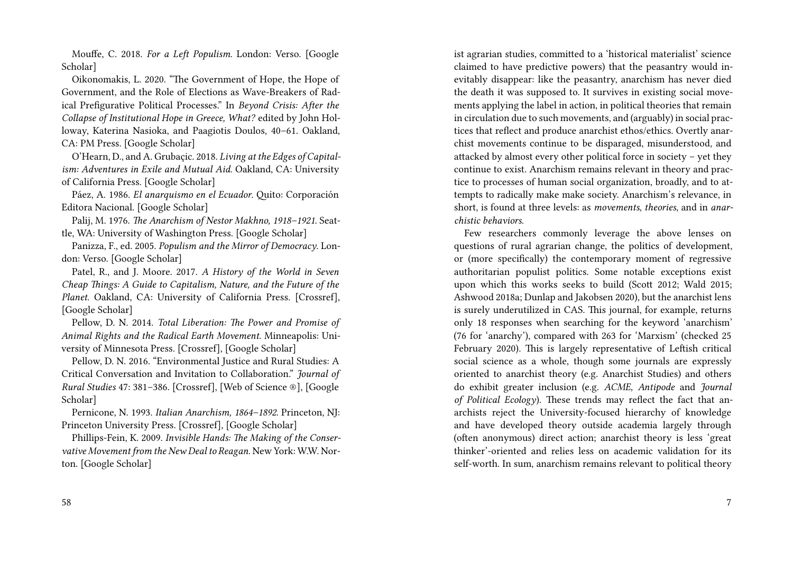Mouffe, C. 2018. *For a Left Populism*. London: Verso. [Google Scholar]

Oikonomakis, L. 2020. "The Government of Hope, the Hope of Government, and the Role of Elections as Wave-Breakers of Radical Prefigurative Political Processes." In *Beyond Crisis: After the Collapse of Institutional Hope in Greece, What?* edited by John Holloway, Katerina Nasioka, and Paagiotis Doulos, 40–61. Oakland, CA: PM Press. [Google Scholar]

O'Hearn, D., and A. Grubaçic. 2018. *Living at the Edges of Capitalism: Adventures in Exile and Mutual Aid*. Oakland, CA: University of California Press. [Google Scholar]

Páez, A. 1986. *El anarquismo en el Ecuador*. Quito: Corporación Editora Nacional. [Google Scholar]

Palij, M. 1976. *The Anarchism of Nestor Makhno, 1918–1921*. Seattle, WA: University of Washington Press. [Google Scholar]

Panizza, F., ed. 2005. *Populism and the Mirror of Democracy*. London: Verso. [Google Scholar]

Patel, R., and J. Moore. 2017. *A History of the World in Seven Cheap Things: A Guide to Capitalism, Nature, and the Future of the Planet*. Oakland, CA: University of California Press. [Crossref], [Google Scholar]

Pellow, D. N. 2014. *Total Liberation: The Power and Promise of Animal Rights and the Radical Earth Movement*. Minneapolis: University of Minnesota Press. [Crossref], [Google Scholar]

Pellow, D. N. 2016. "Environmental Justice and Rural Studies: A Critical Conversation and Invitation to Collaboration." *Journal of Rural Studies* 47: 381–386. [Crossref], [Web of Science ®], [Google Scholar]

Pernicone, N. 1993. *Italian Anarchism, 1864–1892*. Princeton, NJ: Princeton University Press. [Crossref], [Google Scholar]

Phillips-Fein, K. 2009. *Invisible Hands: The Making of the Conservative Movement from the New Deal to Reagan*. New York: W.W. Norton. [Google Scholar]

ist agrarian studies, committed to a 'historical materialist' science claimed to have predictive powers) that the peasantry would inevitably disappear: like the peasantry, anarchism has never died the death it was supposed to. It survives in existing social movements applying the label in action, in political theories that remain in circulation due to such movements, and (arguably) in social practices that reflect and produce anarchist ethos/ethics. Overtly anarchist movements continue to be disparaged, misunderstood, and attacked by almost every other political force in society – yet they continue to exist. Anarchism remains relevant in theory and practice to processes of human social organization, broadly, and to attempts to radically make make society. Anarchism's relevance, in short, is found at three levels: as *movements*, *theories*, and in *anarchistic behaviors*.

Few researchers commonly leverage the above lenses on questions of rural agrarian change, the politics of development, or (more specifically) the contemporary moment of regressive authoritarian populist politics. Some notable exceptions exist upon which this works seeks to build (Scott 2012; Wald 2015; Ashwood 2018a; Dunlap and Jakobsen 2020), but the anarchist lens is surely underutilized in CAS. This journal, for example, returns only 18 responses when searching for the keyword 'anarchism' (76 for 'anarchy'), compared with 263 for 'Marxism' (checked 25 February 2020). This is largely representative of Leftish critical social science as a whole, though some journals are expressly oriented to anarchist theory (e.g. Anarchist Studies) and others do exhibit greater inclusion (e.g. *ACME, Antipode* and *Journal of Political Ecology*). These trends may reflect the fact that anarchists reject the University-focused hierarchy of knowledge and have developed theory outside academia largely through (often anonymous) direct action; anarchist theory is less 'great thinker'-oriented and relies less on academic validation for its self-worth. In sum, anarchism remains relevant to political theory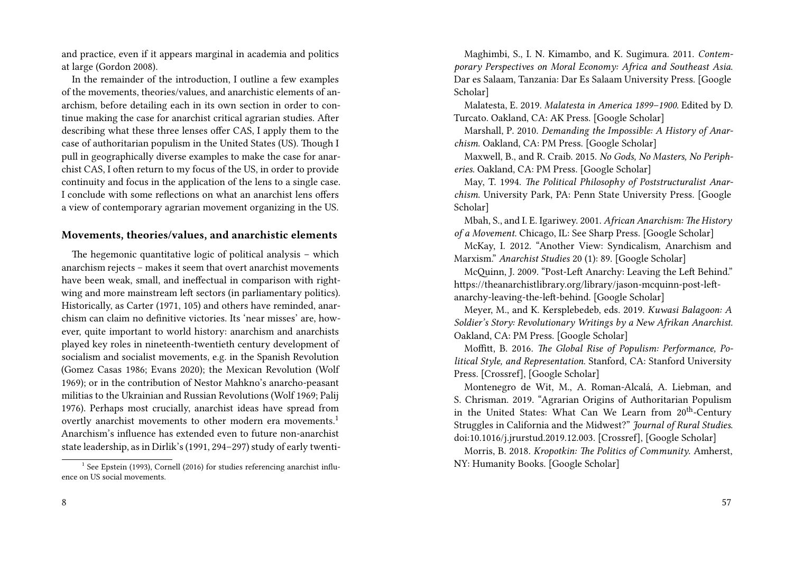and practice, even if it appears marginal in academia and politics at large (Gordon 2008).

In the remainder of the introduction, I outline a few examples of the movements, theories/values, and anarchistic elements of anarchism, before detailing each in its own section in order to continue making the case for anarchist critical agrarian studies. After describing what these three lenses offer CAS, I apply them to the case of authoritarian populism in the United States (US). Though I pull in geographically diverse examples to make the case for anarchist CAS, I often return to my focus of the US, in order to provide continuity and focus in the application of the lens to a single case. I conclude with some reflections on what an anarchist lens offers a view of contemporary agrarian movement organizing in the US.

#### **Movements, theories/values, and anarchistic elements**

The hegemonic quantitative logic of political analysis – which anarchism rejects – makes it seem that overt anarchist movements have been weak, small, and ineffectual in comparison with rightwing and more mainstream left sectors (in parliamentary politics). Historically, as Carter (1971, 105) and others have reminded, anarchism can claim no definitive victories. Its 'near misses' are, however, quite important to world history: anarchism and anarchists played key roles in nineteenth-twentieth century development of socialism and socialist movements, e.g. in the Spanish Revolution (Gomez Casas 1986; Evans 2020); the Mexican Revolution (Wolf 1969); or in the contribution of Nestor Mahkno's anarcho-peasant militias to the Ukrainian and Russian Revolutions (Wolf 1969; Palij 1976). Perhaps most crucially, anarchist ideas have spread from overtly anarchist movements to other modern era movements.<sup>1</sup> Anarchism's influence has extended even to future non-anarchist state leadership, as in Dirlik's (1991, 294–297) study of early twenti-

8

Maghimbi, S., I. N. Kimambo, and K. Sugimura. 2011. *Contemporary Perspectives on Moral Economy: Africa and Southeast Asia*. Dar es Salaam, Tanzania: Dar Es Salaam University Press. [Google Scholar]

Malatesta, E. 2019. *Malatesta in America 1899–1900*. Edited by D. Turcato. Oakland, CA: AK Press. [Google Scholar]

Marshall, P. 2010. *Demanding the Impossible: A History of Anarchism*. Oakland, CA: PM Press. [Google Scholar]

Maxwell, B., and R. Craib. 2015. *No Gods, No Masters, No Peripheries*. Oakland, CA: PM Press. [Google Scholar]

May, T. 1994. *The Political Philosophy of Poststructuralist Anarchism*. University Park, PA: Penn State University Press. [Google Scholar]

Mbah, S., and I. E. Igariwey. 2001. *African Anarchism: The History of a Movement*. Chicago, IL: See Sharp Press. [Google Scholar]

McKay, I. 2012. "Another View: Syndicalism, Anarchism and Marxism." *Anarchist Studies* 20 (1): 89. [Google Scholar]

McQuinn, J. 2009. "Post-Left Anarchy: Leaving the Left Behind." https://theanarchistlibrary.org/library/jason-mcquinn-post-leftanarchy-leaving-the-left-behind. [Google Scholar]

Meyer, M., and K. Kersplebedeb, eds. 2019. *Kuwasi Balagoon: A Soldier's Story: Revolutionary Writings by a New Afrikan Anarchist*. Oakland, CA: PM Press. [Google Scholar]

Moffitt, B. 2016. *The Global Rise of Populism: Performance, Political Style, and Representation*. Stanford, CA: Stanford University Press. [Crossref], [Google Scholar]

Montenegro de Wit, M., A. Roman-Alcalá, A. Liebman, and S. Chrisman. 2019. "Agrarian Origins of Authoritarian Populism in the United States: What Can We Learn from 20<sup>th</sup>-Century Struggles in California and the Midwest?" *Journal of Rural Studies*. doi:10.1016/j.jrurstud.2019.12.003. [Crossref], [Google Scholar]

Morris, B. 2018. *Kropotkin: The Politics of Community*. Amherst, NY: Humanity Books. [Google Scholar]

<sup>&</sup>lt;sup>1</sup> See Epstein (1993), Cornell (2016) for studies referencing anarchist influence on US social movements.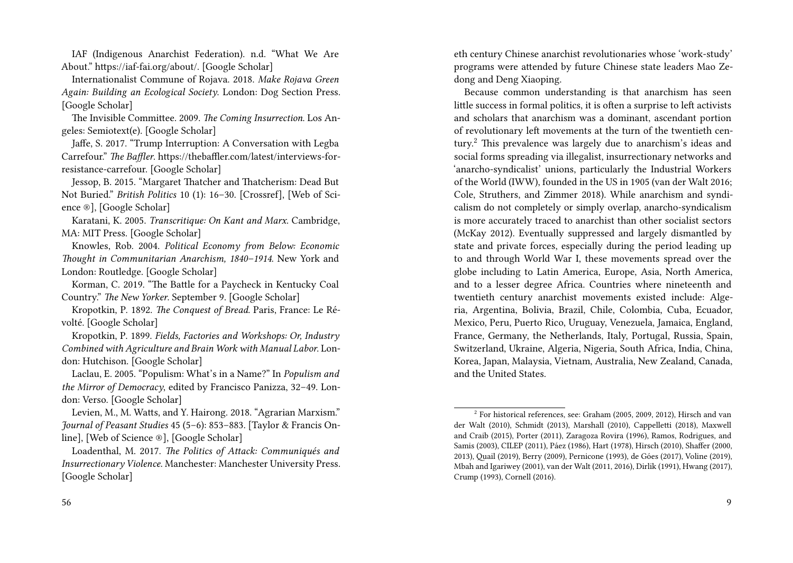IAF (Indigenous Anarchist Federation). n.d. "What We Are About." https://iaf-fai.org/about/. [Google Scholar]

Internationalist Commune of Rojava. 2018. *Make Rojava Green Again: Building an Ecological Society*. London: Dog Section Press. [Google Scholar]

The Invisible Committee. 2009. *The Coming Insurrection*. Los Angeles: Semiotext(e). [Google Scholar]

Jaffe, S. 2017. "Trump Interruption: A Conversation with Legba Carrefour." *The Baffler*. https://thebaffler.com/latest/interviews-forresistance-carrefour. [Google Scholar]

Jessop, B. 2015. "Margaret Thatcher and Thatcherism: Dead But Not Buried." *British Politics* 10 (1): 16–30. [Crossref], [Web of Science ®], [Google Scholar]

Karatani, K. 2005. *Transcritique: On Kant and Marx*. Cambridge, MA: MIT Press. [Google Scholar]

Knowles, Rob. 2004. *Political Economy from Below: Economic Thought in Communitarian Anarchism, 1840–1914*. New York and London: Routledge. [Google Scholar]

Korman, C. 2019. "The Battle for a Paycheck in Kentucky Coal Country." *The New Yorker*. September 9. [Google Scholar]

Kropotkin, P. 1892. *The Conquest of Bread*. Paris, France: Le Révolté. [Google Scholar]

Kropotkin, P. 1899. *Fields, Factories and Workshops: Or, Industry Combined with Agriculture and Brain Work with Manual Labor*. London: Hutchison. [Google Scholar]

Laclau, E. 2005. "Populism: What's in a Name?" In *Populism and the Mirror of Democracy*, edited by Francisco Panizza, 32–49. London: Verso. [Google Scholar]

Levien, M., M. Watts, and Y. Hairong. 2018. "Agrarian Marxism." *Journal of Peasant Studies* 45 (5–6): 853–883. [Taylor & Francis Online], [Web of Science ®], [Google Scholar]

eth century Chinese anarchist revolutionaries whose 'work-study' programs were attended by future Chinese state leaders Mao Zedong and Deng Xiaoping.

Because common understanding is that anarchism has seen little success in formal politics, it is often a surprise to left activists and scholars that anarchism was a dominant, ascendant portion of revolutionary left movements at the turn of the twentieth century.<sup>2</sup> This prevalence was largely due to anarchism's ideas and social forms spreading via illegalist, insurrectionary networks and 'anarcho-syndicalist' unions, particularly the Industrial Workers of the World (IWW), founded in the US in 1905 (van der Walt 2016; Cole, Struthers, and Zimmer 2018). While anarchism and syndicalism do not completely or simply overlap, anarcho-syndicalism is more accurately traced to anarchist than other socialist sectors (McKay 2012). Eventually suppressed and largely dismantled by state and private forces, especially during the period leading up to and through World War I, these movements spread over the globe including to Latin America, Europe, Asia, North America, and to a lesser degree Africa. Countries where nineteenth and twentieth century anarchist movements existed include: Algeria, Argentina, Bolivia, Brazil, Chile, Colombia, Cuba, Ecuador, Mexico, Peru, Puerto Rico, Uruguay, Venezuela, Jamaica, England, France, Germany, the Netherlands, Italy, Portugal, Russia, Spain, Switzerland, Ukraine, Algeria, Nigeria, South Africa, India, China, Korea, Japan, Malaysia, Vietnam, Australia, New Zealand, Canada, and the United States.

Loadenthal, M. 2017. *The Politics of Attack: Communiqués and Insurrectionary Violence*. Manchester: Manchester University Press. [Google Scholar]

 $2^{2}$  For historical references, see: Graham (2005, 2009, 2012), Hirsch and van der Walt (2010), Schmidt (2013), Marshall (2010), Cappelletti (2018), Maxwell and Craib (2015), Porter (2011), Zaragoza Rovira (1996), Ramos, Rodrigues, and Samis (2003), CILEP (2011), Páez (1986), Hart (1978), Hirsch (2010), Shaffer (2000, 2013), Quail (2019), Berry (2009), Pernicone (1993), de Góes (2017), Voline (2019), Mbah and Igariwey (2001), van der Walt (2011, 2016), Dirlik (1991), Hwang (2017), Crump (1993), Cornell (2016).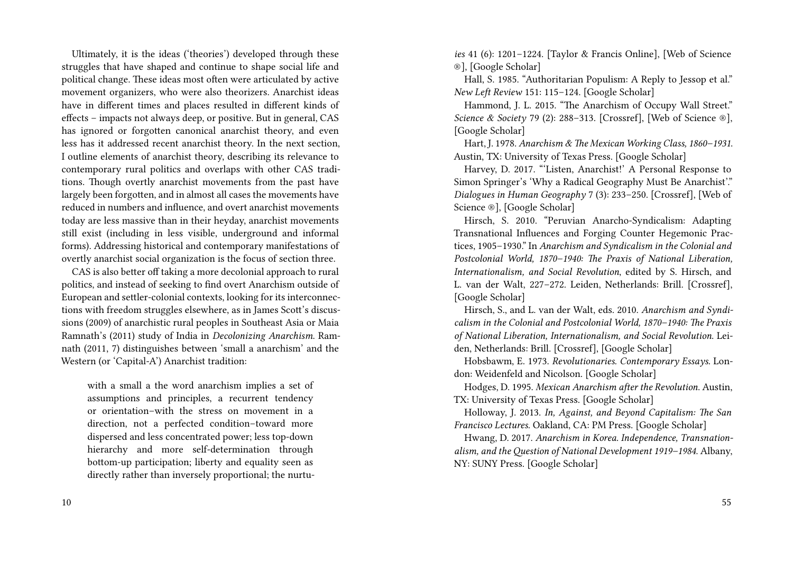Ultimately, it is the ideas ('theories') developed through these struggles that have shaped and continue to shape social life and political change. These ideas most often were articulated by active movement organizers, who were also theorizers. Anarchist ideas have in different times and places resulted in different kinds of effects – impacts not always deep, or positive. But in general, CAS has ignored or forgotten canonical anarchist theory, and even less has it addressed recent anarchist theory. In the next section, I outline elements of anarchist theory, describing its relevance to contemporary rural politics and overlaps with other CAS traditions. Though overtly anarchist movements from the past have largely been forgotten, and in almost all cases the movements have reduced in numbers and influence, and overt anarchist movements today are less massive than in their heyday, anarchist movements still exist (including in less visible, underground and informal forms). Addressing historical and contemporary manifestations of overtly anarchist social organization is the focus of section three.

CAS is also better off taking a more decolonial approach to rural politics, and instead of seeking to find overt Anarchism outside of European and settler-colonial contexts, looking for its interconnections with freedom struggles elsewhere, as in James Scott's discussions (2009) of anarchistic rural peoples in Southeast Asia or Maia Ramnath's (2011) study of India in *Decolonizing Anarchism*. Ramnath (2011, 7) distinguishes between 'small a anarchism' and the Western (or 'Capital-A') Anarchist tradition:

with a small a the word anarchism implies a set of assumptions and principles, a recurrent tendency or orientation–with the stress on movement in a direction, not a perfected condition–toward more dispersed and less concentrated power; less top-down hierarchy and more self-determination through bottom-up participation; liberty and equality seen as directly rather than inversely proportional; the nurtu-

*ies* 41 (6): 1201–1224. [Taylor & Francis Online], [Web of Science ®], [Google Scholar]

Hall, S. 1985. "Authoritarian Populism: A Reply to Jessop et al." *New Left Review* 151: 115–124. [Google Scholar]

Hammond, J. L. 2015. "The Anarchism of Occupy Wall Street." *Science & Society* 79 (2): 288–313. [Crossref], [Web of Science ®], [Google Scholar]

Hart, J. 1978. *Anarchism & The Mexican Working Class, 1860–1931*. Austin, TX: University of Texas Press. [Google Scholar]

Harvey, D. 2017. "'Listen, Anarchist!' A Personal Response to Simon Springer's 'Why a Radical Geography Must Be Anarchist'." *Dialogues in Human Geography* 7 (3): 233–250. [Crossref], [Web of Science ®], [Google Scholar]

Hirsch, S. 2010. "Peruvian Anarcho-Syndicalism: Adapting Transnational Influences and Forging Counter Hegemonic Practices, 1905–1930." In *Anarchism and Syndicalism in the Colonial and Postcolonial World, 1870–1940: The Praxis of National Liberation, Internationalism, and Social Revolution*, edited by S. Hirsch, and L. van der Walt, 227–272. Leiden, Netherlands: Brill. [Crossref], [Google Scholar]

Hirsch, S., and L. van der Walt, eds. 2010. *Anarchism and Syndicalism in the Colonial and Postcolonial World, 1870–1940: The Praxis of National Liberation, Internationalism, and Social Revolution*. Leiden, Netherlands: Brill. [Crossref], [Google Scholar]

Hobsbawm, E. 1973. *Revolutionaries. Contemporary Essays*. London: Weidenfeld and Nicolson. [Google Scholar]

Hodges, D. 1995. *Mexican Anarchism after the Revolution*. Austin, TX: University of Texas Press. [Google Scholar]

Holloway, J. 2013. *In, Against, and Beyond Capitalism: The San Francisco Lectures*. Oakland, CA: PM Press. [Google Scholar]

Hwang, D. 2017. *Anarchism in Korea. Independence, Transnationalism, and the Question of National Development 1919–1984*. Albany, NY: SUNY Press. [Google Scholar]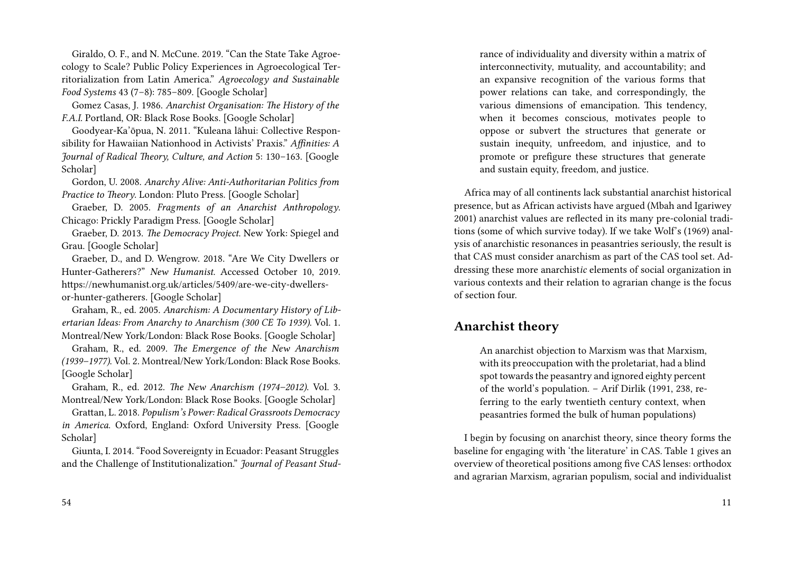Giraldo, O. F., and N. McCune. 2019. "Can the State Take Agroecology to Scale? Public Policy Experiences in Agroecological Territorialization from Latin America." *Agroecology and Sustainable Food Systems* 43 (7–8): 785–809. [Google Scholar]

Gomez Casas, J. 1986. *Anarchist Organisation: The History of the F.A.I*. Portland, OR: Black Rose Books. [Google Scholar]

Goodyear-Ka'ōpua, N. 2011. "Kuleana lāhui: Collective Responsibility for Hawaiian Nationhood in Activists' Praxis." *Affinities: A Journal of Radical Theory, Culture, and Action* 5: 130–163. [Google Scholar]

Gordon, U. 2008. *Anarchy Alive: Anti-Authoritarian Politics from Practice to Theory*. London: Pluto Press. [Google Scholar]

Graeber, D. 2005. *Fragments of an Anarchist Anthropology*. Chicago: Prickly Paradigm Press. [Google Scholar]

Graeber, D. 2013. *The Democracy Project*. New York: Spiegel and Grau. [Google Scholar]

Graeber, D., and D. Wengrow. 2018. "Are We City Dwellers or Hunter-Gatherers?" *New Humanist*. Accessed October 10, 2019. https://newhumanist.org.uk/articles/5409/are-we-city-dwellersor-hunter-gatherers. [Google Scholar]

Graham, R., ed. 2005. *Anarchism: A Documentary History of Libertarian Ideas: From Anarchy to Anarchism (300 CE To 1939)*. Vol. 1. Montreal/New York/London: Black Rose Books. [Google Scholar]

Graham, R., ed. 2009. *The Emergence of the New Anarchism (1939–1977)*. Vol. 2. Montreal/New York/London: Black Rose Books. [Google Scholar]

Graham, R., ed. 2012. *The New Anarchism (1974–2012)*. Vol. 3. Montreal/New York/London: Black Rose Books. [Google Scholar]

Grattan, L. 2018. *Populism's Power: Radical Grassroots Democracy in America*. Oxford, England: Oxford University Press. [Google Scholar]

Giunta, I. 2014. "Food Sovereignty in Ecuador: Peasant Struggles and the Challenge of Institutionalization." *Journal of Peasant Stud-* rance of individuality and diversity within a matrix of interconnectivity, mutuality, and accountability; and an expansive recognition of the various forms that power relations can take, and correspondingly, the various dimensions of emancipation. This tendency, when it becomes conscious, motivates people to oppose or subvert the structures that generate or sustain inequity, unfreedom, and injustice, and to promote or prefigure these structures that generate and sustain equity, freedom, and justice.

Africa may of all continents lack substantial anarchist historical presence, but as African activists have argued (Mbah and Igariwey 2001) anarchist values are reflected in its many pre-colonial traditions (some of which survive today). If we take Wolf's (1969) analysis of anarchistic resonances in peasantries seriously, the result is that CAS must consider anarchism as part of the CAS tool set. Addressing these more anarchist*ic* elements of social organization in various contexts and their relation to agrarian change is the focus of section four.

# **Anarchist theory**

An anarchist objection to Marxism was that Marxism, with its preoccupation with the proletariat, had a blind spot towards the peasantry and ignored eighty percent of the world's population. – Arif Dirlik (1991, 238, referring to the early twentieth century context, when peasantries formed the bulk of human populations)

I begin by focusing on anarchist theory, since theory forms the baseline for engaging with 'the literature' in CAS. Table 1 gives an overview of theoretical positions among five CAS lenses: orthodox and agrarian Marxism, agrarian populism, social and individualist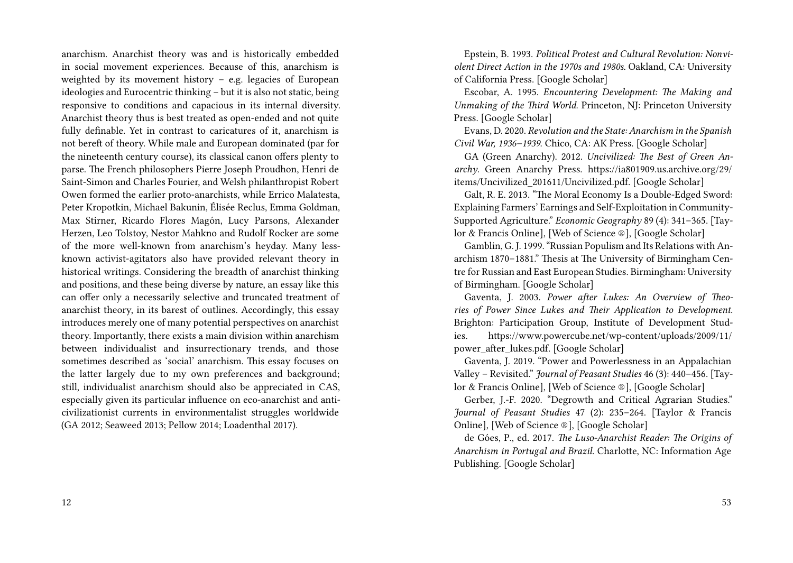anarchism. Anarchist theory was and is historically embedded in social movement experiences. Because of this, anarchism is weighted by its movement history – e.g. legacies of European ideologies and Eurocentric thinking – but it is also not static, being responsive to conditions and capacious in its internal diversity. Anarchist theory thus is best treated as open-ended and not quite fully definable. Yet in contrast to caricatures of it, anarchism is not bereft of theory. While male and European dominated (par for the nineteenth century course), its classical canon offers plenty to parse. The French philosophers Pierre Joseph Proudhon, Henri de Saint-Simon and Charles Fourier, and Welsh philanthropist Robert Owen formed the earlier proto-anarchists, while Errico Malatesta, Peter Kropotkin, Michael Bakunin, Élisée Reclus, Emma Goldman, Max Stirner, Ricardo Flores Magón, Lucy Parsons, Alexander Herzen, Leo Tolstoy, Nestor Mahkno and Rudolf Rocker are some of the more well-known from anarchism's heyday. Many lessknown activist-agitators also have provided relevant theory in historical writings. Considering the breadth of anarchist thinking and positions, and these being diverse by nature, an essay like this can offer only a necessarily selective and truncated treatment of anarchist theory, in its barest of outlines. Accordingly, this essay introduces merely one of many potential perspectives on anarchist theory. Importantly, there exists a main division within anarchism between individualist and insurrectionary trends, and those sometimes described as 'social' anarchism. This essay focuses on the latter largely due to my own preferences and background; still, individualist anarchism should also be appreciated in CAS, especially given its particular influence on eco-anarchist and anticivilizationist currents in environmentalist struggles worldwide (GA 2012; Seaweed 2013; Pellow 2014; Loadenthal 2017).

Epstein, B. 1993. *Political Protest and Cultural Revolution: Nonviolent Direct Action in the 1970s and 1980s*. Oakland, CA: University of California Press. [Google Scholar]

Escobar, A. 1995. *Encountering Development: The Making and Unmaking of the Third World*. Princeton, NJ: Princeton University Press. [Google Scholar]

Evans, D. 2020. *Revolution and the State: Anarchism in the Spanish Civil War, 1936–1939*. Chico, CA: AK Press. [Google Scholar]

GA (Green Anarchy). 2012. *Uncivilized: The Best of Green Anarchy*. Green Anarchy Press. https://ia801909.us.archive.org/29/ items/Uncivilized\_201611/Uncivilized.pdf. [Google Scholar]

Galt, R. E. 2013. "The Moral Economy Is a Double-Edged Sword: Explaining Farmers' Earnings and Self-Exploitation in Community-Supported Agriculture." *Economic Geography* 89 (4): 341–365. [Taylor & Francis Online], [Web of Science ®], [Google Scholar]

Gamblin, G. J. 1999. "Russian Populism and Its Relations with Anarchism 1870–1881." Thesis at The University of Birmingham Centre for Russian and East European Studies. Birmingham: University of Birmingham. [Google Scholar]

Gaventa, J. 2003. *Power after Lukes: An Overview of Theories of Power Since Lukes and Their Application to Development*. Brighton: Participation Group, Institute of Development Studies. https://www.powercube.net/wp-content/uploads/2009/11/ power\_after\_lukes.pdf. [Google Scholar]

Gaventa, J. 2019. "Power and Powerlessness in an Appalachian Valley – Revisited." *Journal of Peasant Studies* 46 (3): 440–456. [Taylor & Francis Online], [Web of Science ®], [Google Scholar]

Gerber, J.-F. 2020. "Degrowth and Critical Agrarian Studies." *Journal of Peasant Studies* 47 (2): 235–264. [Taylor & Francis Online], [Web of Science ®], [Google Scholar]

de Góes, P., ed. 2017. *The Luso-Anarchist Reader: The Origins of Anarchism in Portugal and Brazil*. Charlotte, NC: Information Age Publishing. [Google Scholar]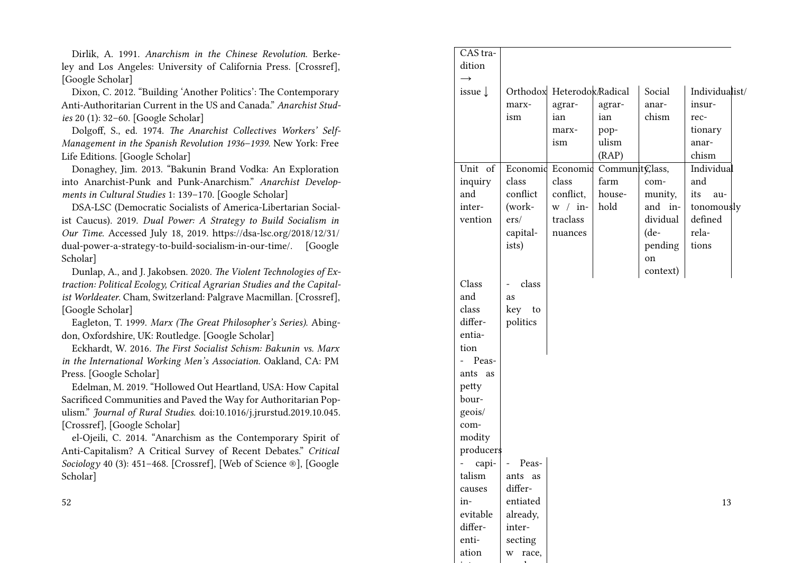Dirlik, A. 1991. *Anarchism in the Chinese Revolution*. Berkeley and Los Angeles: University of California Press. [Crossref], [Google Scholar]

Dixon, C. 2012. "Building 'Another Politics': The Contemporary Anti-Authoritarian Current in the US and Canada." *Anarchist Studies* 20 (1): 32–60. [Google Scholar]

Dolgoff, S., ed. 1974. *The Anarchist Collectives Workers' Self-Management in the Spanish Revolution 1936–1939*. New York: Free Life Editions. [Google Scholar]

Donaghey, Jim. 2013. "Bakunin Brand Vodka: An Exploration into Anarchist-Punk and Punk-Anarchism." *Anarchist Developments in Cultural Studies* 1: 139–170. [Google Scholar]

DSA-LSC (Democratic Socialists of America-Libertarian Socialist Caucus). 2019. *Dual Power: A Strategy to Build Socialism in Our Time*. Accessed July 18, 2019. https://dsa-lsc.org/2018/12/31/ dual-power-a-strategy-to-build-socialism-in-our-time/. [Google Scholar]

Dunlap, A., and J. Jakobsen. 2020. *The Violent Technologies of Extraction: Political Ecology, Critical Agrarian Studies and the Capitalist Worldeater*. Cham, Switzerland: Palgrave Macmillan. [Crossref], [Google Scholar]

Eagleton, T. 1999. *Marx (The Great Philosopher's Series)*. Abingdon, Oxfordshire, UK: Routledge. [Google Scholar]

Eckhardt, W. 2016. *The First Socialist Schism: Bakunin vs. Marx in the International Working Men's Association*. Oakland, CA: PM Press. [Google Scholar]

Edelman, M. 2019. "Hollowed Out Heartland, USA: How Capital Sacrificed Communities and Paved the Way for Authoritarian Populism." *Journal of Rural Studies*. doi:10.1016/j.jrurstud.2019.10.045. [Crossref], [Google Scholar]

el-Ojeili, C. 2014. "Anarchism as the Contemporary Spirit of Anti-Capitalism? A Critical Survey of Recent Debates." *Critical Sociology* 40 (3): 451–468. [Crossref], [Web of Science ®], [Google Scholar]

| CAS tra-<br>dition |                 |                            |                                   |                |                  |
|--------------------|-----------------|----------------------------|-----------------------------------|----------------|------------------|
| $\rightarrow$      |                 |                            |                                   | Social         |                  |
| issue $\downarrow$ |                 | Orthodox Heterodox/Radical |                                   |                | Individualist/   |
|                    | marx-           | agrar-<br>ian              | agrar-<br>ian                     | anar-<br>chism | insur-           |
|                    | ism             |                            |                                   |                | rec-             |
|                    |                 | marx-<br>ism               | pop-<br>ulism                     |                | tionary<br>anar- |
|                    |                 |                            | (RAP)                             |                | chism            |
| Unit of            |                 |                            | Economic Economic Communit Class, |                | Individual       |
| inquiry            | class           | class                      | farm                              | com-           | and              |
| and                | conflict        | conflict,                  | house-                            | munity,        | its<br>au-       |
| inter-             | (work-          | $w / in$ -                 | hold                              | and in-        | tonomously       |
| vention            | ers/            | traclass                   |                                   | dividual       | defined          |
|                    | capital-        | nuances                    |                                   | (de-           | rela-            |
|                    | ists)           |                            |                                   | pending        | tions            |
|                    |                 |                            |                                   | on             |                  |
|                    |                 |                            |                                   | context)       |                  |
| Class              | class<br>$\sim$ |                            |                                   |                |                  |
| and                | as              |                            |                                   |                |                  |
| class              | key to          |                            |                                   |                |                  |
| differ-            | politics        |                            |                                   |                |                  |
| entia-             |                 |                            |                                   |                |                  |
| tion               |                 |                            |                                   |                |                  |
| Peas-              |                 |                            |                                   |                |                  |
| ants as            |                 |                            |                                   |                |                  |
| petty              |                 |                            |                                   |                |                  |
| bour-              |                 |                            |                                   |                |                  |
| geois/             |                 |                            |                                   |                |                  |
| com-               |                 |                            |                                   |                |                  |
| modity             |                 |                            |                                   |                |                  |
| producers          |                 |                            |                                   |                |                  |
| - capi-            | - Peas-         |                            |                                   |                |                  |
| talism             | ants as         |                            |                                   |                |                  |
| causes             | differ-         |                            |                                   |                |                  |
| in-                | entiated        |                            |                                   |                | 13               |
| evitable           | already,        |                            |                                   |                |                  |
| differ-            | inter-          |                            |                                   |                |                  |
| enti-              | secting         |                            |                                   |                |                  |

ation

w race, gender,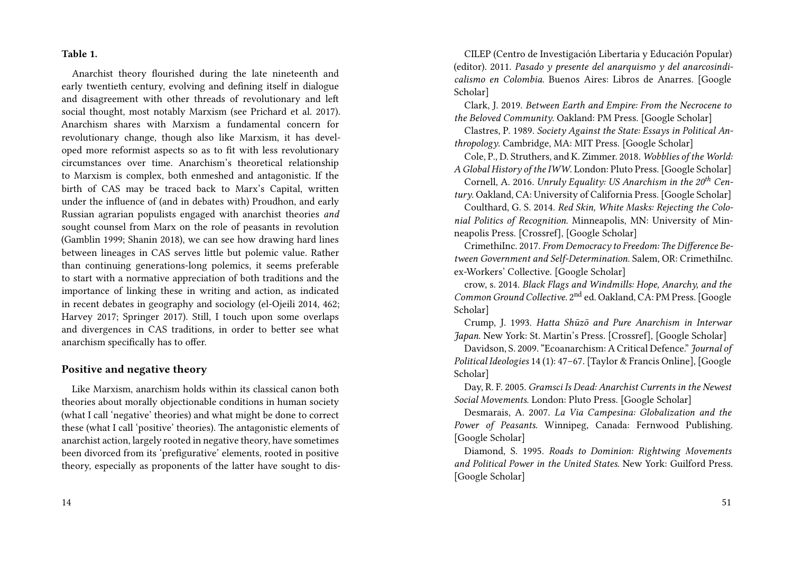#### **Table 1.**

Anarchist theory flourished during the late nineteenth and early twentieth century, evolving and defining itself in dialogue and disagreement with other threads of revolutionary and left social thought, most notably Marxism (see Prichard et al. 2017). Anarchism shares with Marxism a fundamental concern for revolutionary change, though also like Marxism, it has developed more reformist aspects so as to fit with less revolutionary circumstances over time. Anarchism's theoretical relationship to Marxism is complex, both enmeshed and antagonistic. If the birth of CAS may be traced back to Marx's Capital, written under the influence of (and in debates with) Proudhon, and early Russian agrarian populists engaged with anarchist theories *and* sought counsel from Marx on the role of peasants in revolution (Gamblin 1999; Shanin 2018), we can see how drawing hard lines between lineages in CAS serves little but polemic value. Rather than continuing generations-long polemics, it seems preferable to start with a normative appreciation of both traditions and the importance of linking these in writing and action, as indicated in recent debates in geography and sociology (el-Ojeili 2014, 462; Harvey 2017; Springer 2017). Still, I touch upon some overlaps and divergences in CAS traditions, in order to better see what anarchism specifically has to offer.

#### **Positive and negative theory**

Like Marxism, anarchism holds within its classical canon both theories about morally objectionable conditions in human society (what I call 'negative' theories) and what might be done to correct these (what I call 'positive' theories). The antagonistic elements of anarchist action, largely rooted in negative theory, have sometimes been divorced from its 'prefigurative' elements, rooted in positive theory, especially as proponents of the latter have sought to dis-

14

CILEP (Centro de Investigación Libertaria y Educación Popular) (editor). 2011. *Pasado y presente del anarquismo y del anarcosindicalismo en Colombia*. Buenos Aires: Libros de Anarres. [Google Scholar]

Clark, J. 2019. *Between Earth and Empire: From the Necrocene to the Beloved Community*. Oakland: PM Press. [Google Scholar]

Clastres, P. 1989. *Society Against the State: Essays in Political Anthropology*. Cambridge, MA: MIT Press. [Google Scholar]

Cole, P., D. Struthers, and K. Zimmer. 2018. *Wobblies of the World: A Global History of the IWW*. London: Pluto Press. [Google Scholar]

Cornell, A. 2016. *Unruly Equality: US Anarchism in the 20th Century*. Oakland, CA: University of California Press. [Google Scholar]

Coulthard, G. S. 2014. *Red Skin, White Masks: Rejecting the Colonial Politics of Recognition*. Minneapolis, MN: University of Minneapolis Press. [Crossref], [Google Scholar]

CrimethiInc. 2017. *From Democracy to Freedom: The Difference Between Government and Self-Determination*. Salem, OR: CrimethiInc. ex-Workers' Collective. [Google Scholar]

crow, s. 2014. *Black Flags and Windmills: Hope, Anarchy, and the Common Ground Collective*. 2nd ed. Oakland, CA: PM Press. [Google Scholar]

Crump, J. 1993. *Hatta Shūzō and Pure Anarchism in Interwar Japan*. New York: St. Martin's Press. [Crossref], [Google Scholar]

Davidson, S. 2009. "Ecoanarchism: A Critical Defence." *Journal of Political Ideologies* 14 (1): 47–67. [Taylor & Francis Online], [Google Scholar]

Day, R. F. 2005. *Gramsci Is Dead: Anarchist Currents in the Newest Social Movements*. London: Pluto Press. [Google Scholar]

Desmarais, A. 2007. *La Via Campesina: Globalization and the Power of Peasants*. Winnipeg, Canada: Fernwood Publishing. [Google Scholar]

Diamond, S. 1995. *Roads to Dominion: Rightwing Movements and Political Power in the United States*. New York: Guilford Press. [Google Scholar]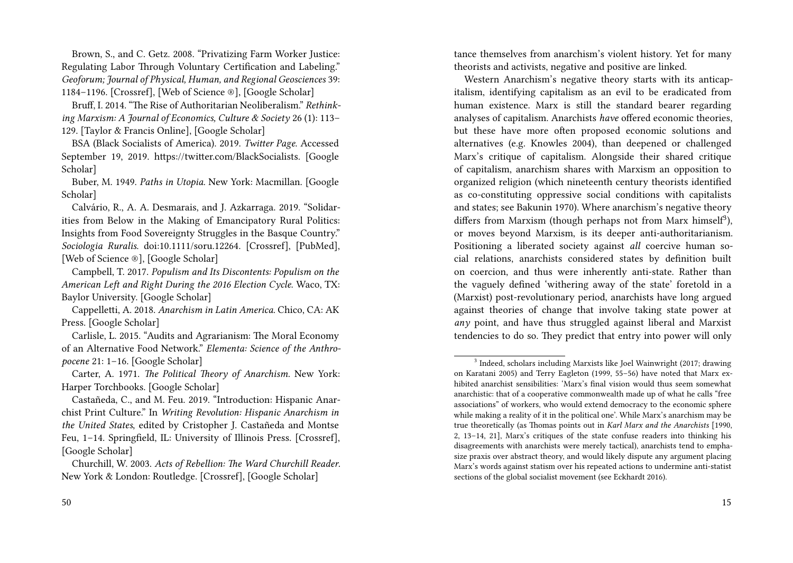Brown, S., and C. Getz. 2008. "Privatizing Farm Worker Justice: Regulating Labor Through Voluntary Certification and Labeling." *Geoforum; Journal of Physical, Human, and Regional Geosciences* 39: 1184–1196. [Crossref], [Web of Science ®], [Google Scholar]

Bruff, I. 2014. "The Rise of Authoritarian Neoliberalism." *Rethinking Marxism: A Journal of Economics, Culture & Society* 26 (1): 113– 129. [Taylor & Francis Online], [Google Scholar]

BSA (Black Socialists of America). 2019. *Twitter Page*. Accessed September 19, 2019. https://twitter.com/BlackSocialists. [Google Scholar]

Buber, M. 1949. *Paths in Utopia*. New York: Macmillan. [Google Scholar]

Calvário, R., A. A. Desmarais, and J. Azkarraga. 2019. "Solidarities from Below in the Making of Emancipatory Rural Politics: Insights from Food Sovereignty Struggles in the Basque Country." *Sociologia Ruralis*. doi:10.1111/soru.12264. [Crossref], [PubMed], [Web of Science ®], [Google Scholar]

Campbell, T. 2017. *Populism and Its Discontents: Populism on the American Left and Right During the 2016 Election Cycle*. Waco, TX: Baylor University. [Google Scholar]

Cappelletti, A. 2018. *Anarchism in Latin America*. Chico, CA: AK Press. [Google Scholar]

Carlisle, L. 2015. "Audits and Agrarianism: The Moral Economy of an Alternative Food Network." *Elementa: Science of the Anthropocene* 21: 1–16. [Google Scholar]

Carter, A. 1971. *The Political Theory of Anarchism*. New York: Harper Torchbooks. [Google Scholar]

tance themselves from anarchism's violent history. Yet for many theorists and activists, negative and positive are linked.

Western Anarchism's negative theory starts with its anticapitalism, identifying capitalism as an evil to be eradicated from human existence. Marx is still the standard bearer regarding analyses of capitalism. Anarchists *have* offered economic theories, but these have more often proposed economic solutions and alternatives (e.g. Knowles 2004), than deepened or challenged Marx's critique of capitalism. Alongside their shared critique of capitalism, anarchism shares with Marxism an opposition to organized religion (which nineteenth century theorists identified as co-constituting oppressive social conditions with capitalists and states; see Bakunin 1970). Where anarchism's negative theory differs from Marxism (though perhaps not from Marx himself<sup>3</sup>), or moves beyond Marxism, is its deeper anti-authoritarianism. Positioning a liberated society against *all* coercive human social relations, anarchists considered states by definition built on coercion, and thus were inherently anti-state. Rather than the vaguely defined 'withering away of the state' foretold in a (Marxist) post-revolutionary period, anarchists have long argued against theories of change that involve taking state power at *any* point, and have thus struggled against liberal and Marxist tendencies to do so. They predict that entry into power will only

Castañeda, C., and M. Feu. 2019. "Introduction: Hispanic Anarchist Print Culture." In *Writing Revolution: Hispanic Anarchism in the United States*, edited by Cristopher J. Castañeda and Montse Feu, 1–14. Springfield, IL: University of Illinois Press. [Crossref], [Google Scholar]

Churchill, W. 2003. *Acts of Rebellion: The Ward Churchill Reader*. New York & London: Routledge. [Crossref], [Google Scholar]

<sup>&</sup>lt;sup>3</sup> Indeed, scholars including Marxists like Joel Wainwright (2017; drawing on Karatani 2005) and Terry Eagleton (1999, 55–56) have noted that Marx exhibited anarchist sensibilities: 'Marx's final vision would thus seem somewhat anarchistic: that of a cooperative commonwealth made up of what he calls "free associations" of workers, who would extend democracy to the economic sphere while making a reality of it in the political one'. While Marx's anarchism may be true theoretically (as Thomas points out in *Karl Marx and the Anarchists* [1990, 2, 13–14, 21], Marx's critiques of the state confuse readers into thinking his disagreements with anarchists were merely tactical), anarchists tend to emphasize praxis over abstract theory, and would likely dispute any argument placing Marx's words against statism over his repeated actions to undermine anti-statist sections of the global socialist movement (see Eckhardt 2016).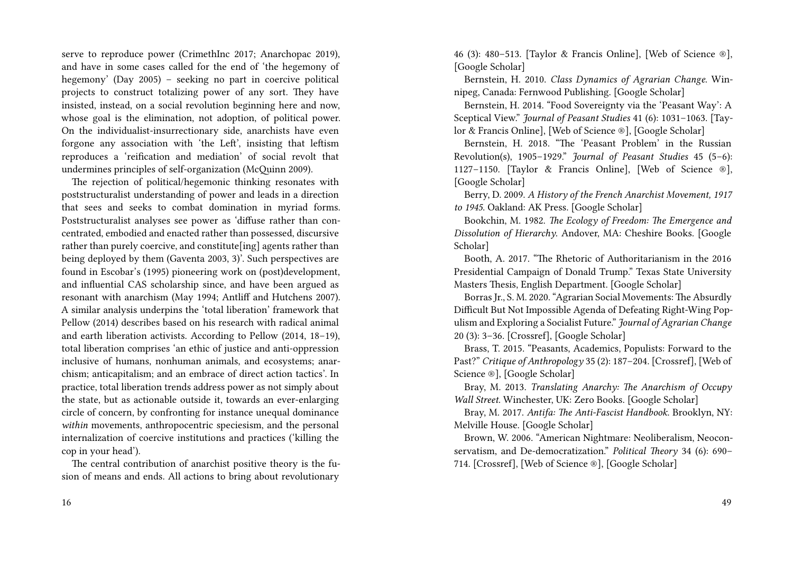serve to reproduce power (CrimethInc 2017; Anarchopac 2019), and have in some cases called for the end of 'the hegemony of hegemony' (Day 2005) – seeking no part in coercive political projects to construct totalizing power of any sort. They have insisted, instead, on a social revolution beginning here and now, whose goal is the elimination, not adoption, of political power. On the individualist-insurrectionary side, anarchists have even forgone any association with 'the Left', insisting that leftism reproduces a 'reification and mediation' of social revolt that undermines principles of self-organization (McQuinn 2009).

The rejection of political/hegemonic thinking resonates with poststructuralist understanding of power and leads in a direction that sees and seeks to combat domination in myriad forms. Poststructuralist analyses see power as 'diffuse rather than concentrated, embodied and enacted rather than possessed, discursive rather than purely coercive, and constitute[ing] agents rather than being deployed by them (Gaventa 2003, 3)'. Such perspectives are found in Escobar's (1995) pioneering work on (post)development, and influential CAS scholarship since, and have been argued as resonant with anarchism (May 1994; Antliff and Hutchens 2007). A similar analysis underpins the 'total liberation' framework that Pellow (2014) describes based on his research with radical animal and earth liberation activists. According to Pellow (2014, 18–19), total liberation comprises 'an ethic of justice and anti-oppression inclusive of humans, nonhuman animals, and ecosystems; anarchism; anticapitalism; and an embrace of direct action tactics'. In practice, total liberation trends address power as not simply about the state, but as actionable outside it, towards an ever-enlarging circle of concern, by confronting for instance unequal dominance *within* movements, anthropocentric speciesism, and the personal internalization of coercive institutions and practices ('killing the cop in your head').

The central contribution of anarchist positive theory is the fusion of means and ends. All actions to bring about revolutionary 46 (3): 480–513. [Taylor & Francis Online], [Web of Science ®], [Google Scholar]

Bernstein, H. 2010. *Class Dynamics of Agrarian Change*. Winnipeg, Canada: Fernwood Publishing. [Google Scholar]

Bernstein, H. 2014. "Food Sovereignty via the 'Peasant Way': A Sceptical View." *Journal of Peasant Studies* 41 (6): 1031–1063. [Taylor & Francis Online], [Web of Science ®], [Google Scholar]

Bernstein, H. 2018. "The 'Peasant Problem' in the Russian Revolution(s), 1905–1929." *Journal of Peasant Studies* 45 (5–6): 1127–1150. [Taylor & Francis Online], [Web of Science ®], [Google Scholar]

Berry, D. 2009. *A History of the French Anarchist Movement, 1917 to 1945*. Oakland: AK Press. [Google Scholar]

Bookchin, M. 1982. *The Ecology of Freedom: The Emergence and Dissolution of Hierarchy*. Andover, MA: Cheshire Books. [Google Scholar]

Booth, A. 2017. "The Rhetoric of Authoritarianism in the 2016 Presidential Campaign of Donald Trump." Texas State University Masters Thesis, English Department. [Google Scholar]

Borras Jr., S. M. 2020. "Agrarian Social Movements: The Absurdly Difficult But Not Impossible Agenda of Defeating Right-Wing Populism and Exploring a Socialist Future." *Journal of Agrarian Change* 20 (3): 3–36. [Crossref], [Google Scholar]

Brass, T. 2015. "Peasants, Academics, Populists: Forward to the Past?" *Critique of Anthropology* 35 (2): 187–204. [Crossref], [Web of Science ®], [Google Scholar]

Bray, M. 2013. *Translating Anarchy: The Anarchism of Occupy Wall Street*. Winchester, UK: Zero Books. [Google Scholar]

Bray, M. 2017. *Antifa: The Anti-Fascist Handbook*. Brooklyn, NY: Melville House. [Google Scholar]

Brown, W. 2006. "American Nightmare: Neoliberalism, Neoconservatism, and De-democratization." *Political Theory* 34 (6): 690– 714. [Crossref], [Web of Science ®], [Google Scholar]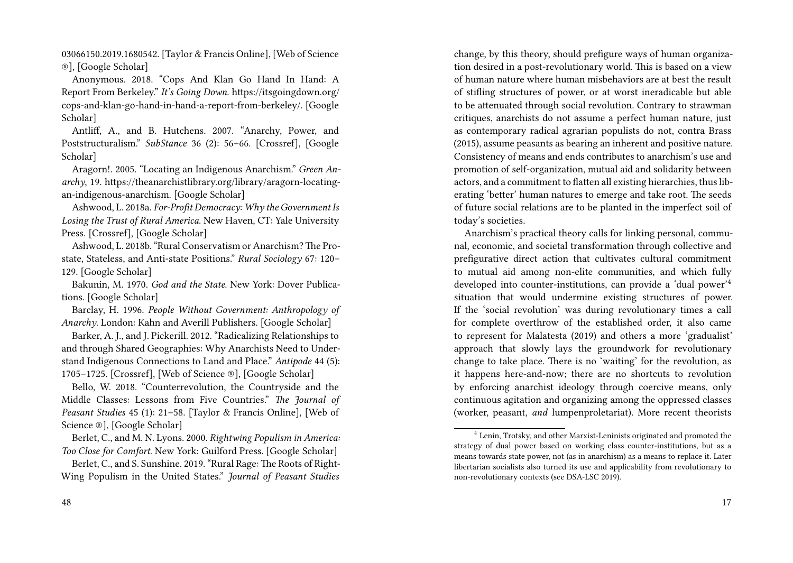03066150.2019.1680542. [Taylor & Francis Online], [Web of Science ®], [Google Scholar]

Anonymous. 2018. "Cops And Klan Go Hand In Hand: A Report From Berkeley." *It's Going Down*. https://itsgoingdown.org/ cops-and-klan-go-hand-in-hand-a-report-from-berkeley/. [Google Scholar]

Antliff, A., and B. Hutchens. 2007. "Anarchy, Power, and Poststructuralism." *SubStance* 36 (2): 56–66. [Crossref], [Google Scholar]

Aragorn!. 2005. "Locating an Indigenous Anarchism." *Green Anarchy*, 19. https://theanarchistlibrary.org/library/aragorn-locatingan-indigenous-anarchism. [Google Scholar]

Ashwood, L. 2018a. *For-Profit Democracy: Why the Government Is Losing the Trust of Rural America*. New Haven, CT: Yale University Press. [Crossref], [Google Scholar]

Ashwood, L. 2018b. "Rural Conservatism or Anarchism? The Prostate, Stateless, and Anti-state Positions." *Rural Sociology* 67: 120– 129. [Google Scholar]

Bakunin, M. 1970. *God and the State*. New York: Dover Publications. [Google Scholar]

Barclay, H. 1996. *People Without Government: Anthropology of Anarchy*. London: Kahn and Averill Publishers. [Google Scholar]

Barker, A. J., and J. Pickerill. 2012. "Radicalizing Relationships to and through Shared Geographies: Why Anarchists Need to Understand Indigenous Connections to Land and Place." *Antipode* 44 (5): 1705–1725. [Crossref], [Web of Science ®], [Google Scholar]

Bello, W. 2018. "Counterrevolution, the Countryside and the Middle Classes: Lessons from Five Countries." *The Journal of Peasant Studies* 45 (1): 21–58. [Taylor & Francis Online], [Web of Science ®], [Google Scholar]

Berlet, C., and M. N. Lyons. 2000. *Rightwing Populism in America: Too Close for Comfort*. New York: Guilford Press. [Google Scholar]

Berlet, C., and S. Sunshine. 2019. "Rural Rage: The Roots of Right-Wing Populism in the United States." *Journal of Peasant Studies*

change, by this theory, should prefigure ways of human organization desired in a post-revolutionary world. This is based on a view of human nature where human misbehaviors are at best the result of stifling structures of power, or at worst ineradicable but able to be attenuated through social revolution. Contrary to strawman critiques, anarchists do not assume a perfect human nature, just as contemporary radical agrarian populists do not, contra Brass (2015), assume peasants as bearing an inherent and positive nature. Consistency of means and ends contributes to anarchism's use and promotion of self-organization, mutual aid and solidarity between actors, and a commitment to flatten all existing hierarchies, thus liberating 'better' human natures to emerge and take root. The seeds of future social relations are to be planted in the imperfect soil of today's societies.

Anarchism's practical theory calls for linking personal, communal, economic, and societal transformation through collective and prefigurative direct action that cultivates cultural commitment to mutual aid among non-elite communities, and which fully developed into counter-institutions, can provide a 'dual power'<sup>4</sup> situation that would undermine existing structures of power. If the 'social revolution' was during revolutionary times a call for complete overthrow of the established order, it also came to represent for Malatesta (2019) and others a more 'gradualist' approach that slowly lays the groundwork for revolutionary change to take place. There is no 'waiting' for the revolution, as it happens here-and-now; there are no shortcuts to revolution by enforcing anarchist ideology through coercive means, only continuous agitation and organizing among the oppressed classes (worker, peasant, *and* lumpenproletariat). More recent theorists

<sup>&</sup>lt;sup>4</sup> Lenin, Trotsky, and other Marxist-Leninists originated and promoted the strategy of dual power based on working class counter-institutions, but as a means towards state power, not (as in anarchism) as a means to replace it. Later libertarian socialists also turned its use and applicability from revolutionary to non-revolutionary contexts (see DSA-LSC 2019).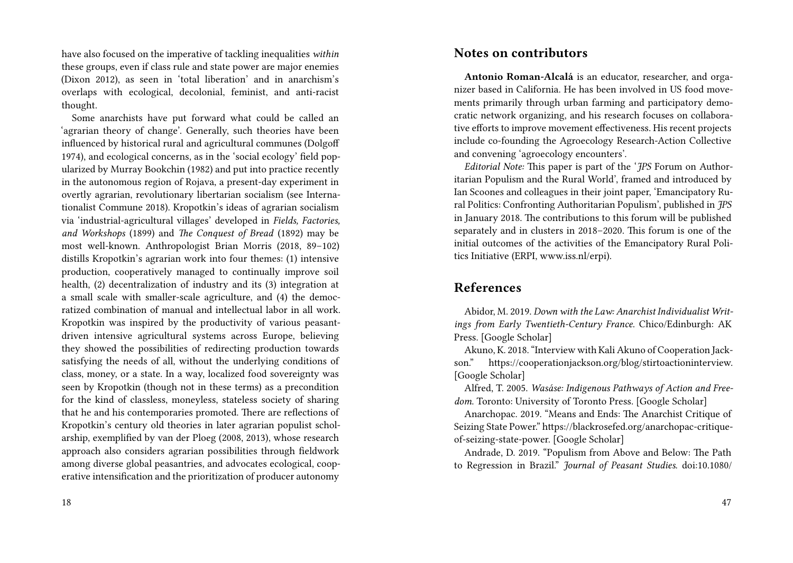have also focused on the imperative of tackling inequalities *within* these groups, even if class rule and state power are major enemies (Dixon 2012), as seen in 'total liberation' and in anarchism's overlaps with ecological, decolonial, feminist, and anti-racist thought.

Some anarchists have put forward what could be called an 'agrarian theory of change'. Generally, such theories have been influenced by historical rural and agricultural communes (Dolgoff 1974), and ecological concerns, as in the 'social ecology' field popularized by Murray Bookchin (1982) and put into practice recently in the autonomous region of Rojava, a present-day experiment in overtly agrarian, revolutionary libertarian socialism (see Internationalist Commune 2018). Kropotkin's ideas of agrarian socialism via 'industrial-agricultural villages' developed in *Fields, Factories, and Workshops* (1899) and *The Conquest of Bread* (1892) may be most well-known. Anthropologist Brian Morris (2018, 89–102) distills Kropotkin's agrarian work into four themes: (1) intensive production, cooperatively managed to continually improve soil health, (2) decentralization of industry and its (3) integration at a small scale with smaller-scale agriculture, and (4) the democratized combination of manual and intellectual labor in all work. Kropotkin was inspired by the productivity of various peasantdriven intensive agricultural systems across Europe, believing they showed the possibilities of redirecting production towards satisfying the needs of all, without the underlying conditions of class, money, or a state. In a way, localized food sovereignty was seen by Kropotkin (though not in these terms) as a precondition for the kind of classless, moneyless, stateless society of sharing that he and his contemporaries promoted. There are reflections of Kropotkin's century old theories in later agrarian populist scholarship, exemplified by van der Ploeg (2008, 2013), whose research approach also considers agrarian possibilities through fieldwork among diverse global peasantries, and advocates ecological, cooperative intensification and the prioritization of producer autonomy

#### **Notes on contributors**

**Antonio Roman-Alcalá** is an educator, researcher, and organizer based in California. He has been involved in US food movements primarily through urban farming and participatory democratic network organizing, and his research focuses on collaborative efforts to improve movement effectiveness. His recent projects include co-founding the Agroecology Research-Action Collective and convening 'agroecology encounters'.

*Editorial Note:* This paper is part of the '*JPS* Forum on Authoritarian Populism and the Rural World', framed and introduced by Ian Scoones and colleagues in their joint paper, 'Emancipatory Rural Politics: Confronting Authoritarian Populism', published in *JPS* in January 2018. The contributions to this forum will be published separately and in clusters in 2018–2020. This forum is one of the initial outcomes of the activities of the Emancipatory Rural Politics Initiative (ERPI, www.iss.nl/erpi).

#### **References**

Abidor, M. 2019. *Down with the Law: Anarchist Individualist Writings from Early Twentieth-Century France*. Chico/Edinburgh: AK Press. [Google Scholar]

Akuno, K. 2018. "Interview with Kali Akuno of Cooperation Jackson." https://cooperationjackson.org/blog/stirtoactioninterview. [Google Scholar]

Alfred, T. 2005. *Wasáse: Indigenous Pathways of Action and Freedom*. Toronto: University of Toronto Press. [Google Scholar]

Anarchopac. 2019. "Means and Ends: The Anarchist Critique of Seizing State Power." https://blackrosefed.org/anarchopac-critiqueof-seizing-state-power. [Google Scholar]

Andrade, D. 2019. "Populism from Above and Below: The Path to Regression in Brazil." *Journal of Peasant Studies*. doi:10.1080/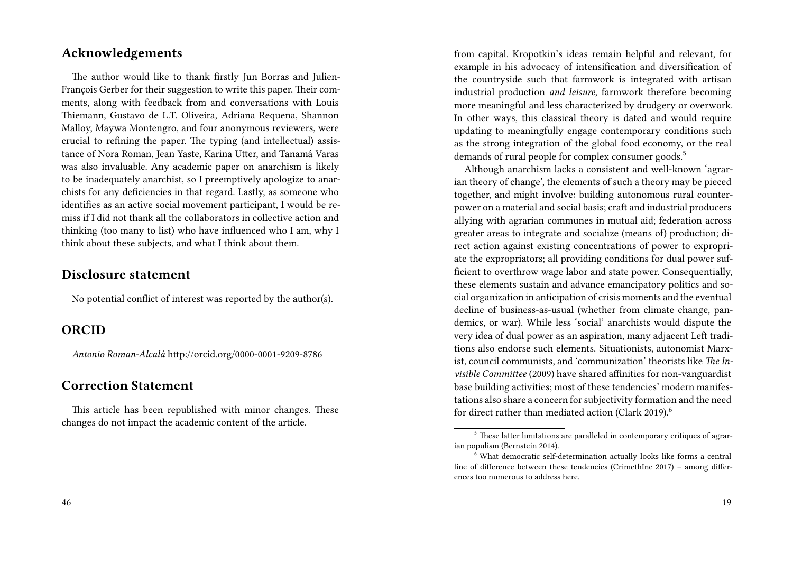# **Acknowledgements**

The author would like to thank firstly Jun Borras and Julien-François Gerber for their suggestion to write this paper. Their comments, along with feedback from and conversations with Louis Thiemann, Gustavo de L.T. Oliveira, Adriana Requena, Shannon Malloy, Maywa Montengro, and four anonymous reviewers, were crucial to refining the paper. The typing (and intellectual) assistance of Nora Roman, Jean Yaste, Karina Utter, and Tanamá Varas was also invaluable. Any academic paper on anarchism is likely to be inadequately anarchist, so I preemptively apologize to anarchists for any deficiencies in that regard. Lastly, as someone who identifies as an active social movement participant, I would be remiss if I did not thank all the collaborators in collective action and thinking (too many to list) who have influenced who I am, why I think about these subjects, and what I think about them.

# **Disclosure statement**

No potential conflict of interest was reported by the author(s).

#### **ORCID**

*Antonio Roman-Alcalá* http://orcid.org/0000-0001-9209-8786

# **Correction Statement**

This article has been republished with minor changes. These changes do not impact the academic content of the article.

from capital. Kropotkin's ideas remain helpful and relevant, for example in his advocacy of intensification and diversification of the countryside such that farmwork is integrated with artisan industrial production *and leisure*, farmwork therefore becoming more meaningful and less characterized by drudgery or overwork. In other ways, this classical theory is dated and would require updating to meaningfully engage contemporary conditions such as the strong integration of the global food economy, or the real demands of rural people for complex consumer goods.<sup>5</sup>

Although anarchism lacks a consistent and well-known 'agrarian theory of change', the elements of such a theory may be pieced together, and might involve: building autonomous rural counterpower on a material and social basis; craft and industrial producers allying with agrarian communes in mutual aid; federation across greater areas to integrate and socialize (means of) production; direct action against existing concentrations of power to expropriate the expropriators; all providing conditions for dual power sufficient to overthrow wage labor and state power. Consequentially, these elements sustain and advance emancipatory politics and social organization in anticipation of crisis moments and the eventual decline of business-as-usual (whether from climate change, pandemics, or war). While less 'social' anarchists would dispute the very idea of dual power as an aspiration, many adjacent Left traditions also endorse such elements. Situationists, autonomist Marxist, council communists, and 'communization' theorists like *The Invisible Committee* (2009) have shared affinities for non-vanguardist base building activities; most of these tendencies' modern manifestations also share a concern for subjectivity formation and the need for direct rather than mediated action (Clark 2019).<sup>6</sup>

<sup>&</sup>lt;sup>5</sup> These latter limitations are paralleled in contemporary critiques of agrarian populism (Bernstein 2014).

<sup>6</sup> What democratic self-determination actually looks like forms a central line of difference between these tendencies (CrimethInc 2017) – among differences too numerous to address here.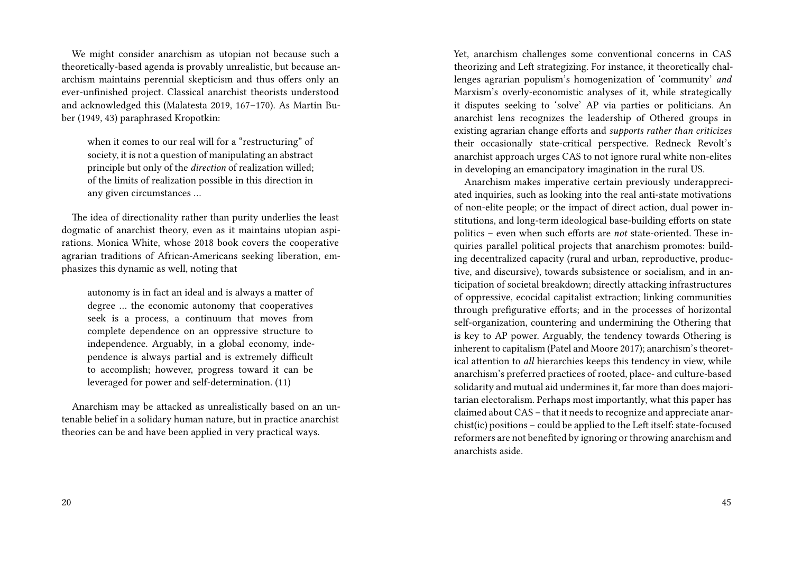We might consider anarchism as utopian not because such a theoretically-based agenda is provably unrealistic, but because anarchism maintains perennial skepticism and thus offers only an ever-unfinished project. Classical anarchist theorists understood and acknowledged this (Malatesta 2019, 167–170). As Martin Buber (1949, 43) paraphrased Kropotkin:

when it comes to our real will for a "restructuring" of society, it is not a question of manipulating an abstract principle but only of the *direction* of realization willed; of the limits of realization possible in this direction in any given circumstances …

The idea of directionality rather than purity underlies the least dogmatic of anarchist theory, even as it maintains utopian aspirations. Monica White, whose 2018 book covers the cooperative agrarian traditions of African-Americans seeking liberation, emphasizes this dynamic as well, noting that

autonomy is in fact an ideal and is always a matter of degree … the economic autonomy that cooperatives seek is a process, a continuum that moves from complete dependence on an oppressive structure to independence. Arguably, in a global economy, independence is always partial and is extremely difficult to accomplish; however, progress toward it can be leveraged for power and self-determination. (11)

Anarchism may be attacked as unrealistically based on an untenable belief in a solidary human nature, but in practice anarchist theories can be and have been applied in very practical ways.

Yet, anarchism challenges some conventional concerns in CAS theorizing and Left strategizing. For instance, it theoretically challenges agrarian populism's homogenization of 'community' *and* Marxism's overly-economistic analyses of it, while strategically it disputes seeking to 'solve' AP via parties or politicians. An anarchist lens recognizes the leadership of Othered groups in existing agrarian change efforts and *supports rather than criticizes* their occasionally state-critical perspective. Redneck Revolt's anarchist approach urges CAS to not ignore rural white non-elites in developing an emancipatory imagination in the rural US.

Anarchism makes imperative certain previously underappreciated inquiries, such as looking into the real anti-state motivations of non-elite people; or the impact of direct action, dual power institutions, and long-term ideological base-building efforts on state politics – even when such efforts are *not* state-oriented. These inquiries parallel political projects that anarchism promotes: building decentralized capacity (rural and urban, reproductive, productive, and discursive), towards subsistence or socialism, and in anticipation of societal breakdown; directly attacking infrastructures of oppressive, ecocidal capitalist extraction; linking communities through prefigurative efforts; and in the processes of horizontal self-organization, countering and undermining the Othering that is key to AP power. Arguably, the tendency towards Othering is inherent to capitalism (Patel and Moore 2017); anarchism's theoretical attention to *all* hierarchies keeps this tendency in view, while anarchism's preferred practices of rooted, place- and culture-based solidarity and mutual aid undermines it, far more than does majoritarian electoralism. Perhaps most importantly, what this paper has claimed about CAS – that it needs to recognize and appreciate anarchist(ic) positions – could be applied to the Left itself: state-focused reformers are not benefited by ignoring or throwing anarchism and anarchists aside.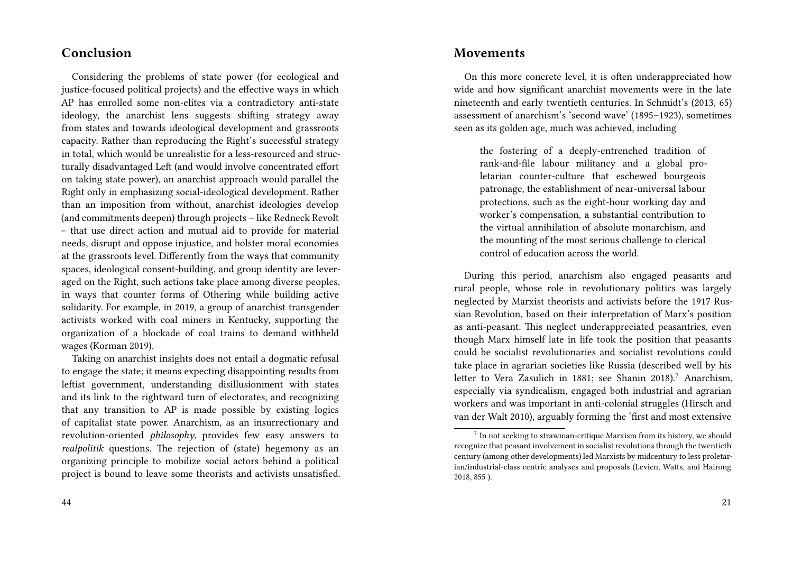# **Conclusion**

Considering the problems of state power (for ecological and justice-focused political projects) and the effective ways in which AP has enrolled some non-elites via a contradictory anti-state ideology, the anarchist lens suggests shifting strategy away from states and towards ideological development and grassroots capacity. Rather than reproducing the Right's successful strategy in total, which would be unrealistic for a less-resourced and structurally disadvantaged Left (and would involve concentrated effort on taking state power), an anarchist approach would parallel the Right only in emphasizing social-ideological development. Rather than an imposition from without, anarchist ideologies develop (and commitments deepen) through projects – like Redneck Revolt – that use direct action and mutual aid to provide for material needs, disrupt and oppose injustice, and bolster moral economies at the grassroots level. Differently from the ways that community spaces, ideological consent-building, and group identity are leveraged on the Right, such actions take place among diverse peoples, in ways that counter forms of Othering while building active solidarity. For example, in 2019, a group of anarchist transgender activists worked with coal miners in Kentucky, supporting the organization of a blockade of coal trains to demand withheld wages (Korman 2019).

Taking on anarchist insights does not entail a dogmatic refusal to engage the state; it means expecting disappointing results from leftist government, understanding disillusionment with states and its link to the rightward turn of electorates, and recognizing that any transition to AP is made possible by existing logics of capitalist state power. Anarchism, as an insurrectionary and revolution-oriented *philosophy*, provides few easy answers to *realpolitik* questions. The rejection of (state) hegemony as an organizing principle to mobilize social actors behind a political project is bound to leave some theorists and activists unsatisfied.

#### **Movements**

On this more concrete level, it is often underappreciated how wide and how significant anarchist movements were in the late nineteenth and early twentieth centuries. In Schmidt's (2013, 65) assessment of anarchism's 'second wave' (1895–1923), sometimes seen as its golden age, much was achieved, including

the fostering of a deeply-entrenched tradition of rank-and-file labour militancy and a global proletarian counter-culture that eschewed bourgeois patronage, the establishment of near-universal labour protections, such as the eight-hour working day and worker's compensation, a substantial contribution to the virtual annihilation of absolute monarchism, and the mounting of the most serious challenge to clerical control of education across the world.

During this period, anarchism also engaged peasants and rural people, whose role in revolutionary politics was largely neglected by Marxist theorists and activists before the 1917 Russian Revolution, based on their interpretation of Marx's position as anti-peasant. This neglect underappreciated peasantries, even though Marx himself late in life took the position that peasants could be socialist revolutionaries and socialist revolutions could take place in agrarian societies like Russia (described well by his letter to Vera Zasulich in 1881; see Shanin 2018).<sup>7</sup> Anarchism, especially via syndicalism, engaged both industrial and agrarian workers and was important in anti-colonial struggles (Hirsch and van der Walt 2010), arguably forming the 'first and most extensive

<sup>&</sup>lt;sup>7</sup> In not seeking to strawman-critique Marxism from its history, we should recognize that peasant involvement in socialist revolutions through the twentieth century (among other developments) led Marxists by midcentury to less proletarian/industrial-class centric analyses and proposals (Levien, Watts, and Hairong 2018, 855 ).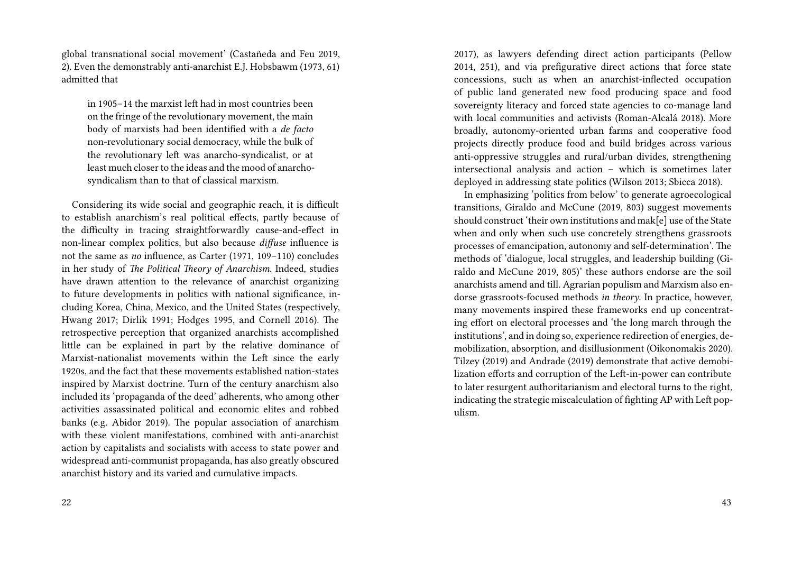global transnational social movement' (Castañeda and Feu 2019, 2). Even the demonstrably anti-anarchist E.J. Hobsbawm (1973, 61) admitted that

in 1905–14 the marxist left had in most countries been on the fringe of the revolutionary movement, the main body of marxists had been identified with a *de facto* non-revolutionary social democracy, while the bulk of the revolutionary left was anarcho-syndicalist, or at least much closer to the ideas and the mood of anarchosyndicalism than to that of classical marxism.

Considering its wide social and geographic reach, it is difficult to establish anarchism's real political effects, partly because of the difficulty in tracing straightforwardly cause-and-effect in non-linear complex politics, but also because *diffuse* influence is not the same as *no* influence, as Carter (1971, 109–110) concludes in her study of *The Political Theory of Anarchism*. Indeed, studies have drawn attention to the relevance of anarchist organizing to future developments in politics with national significance, including Korea, China, Mexico, and the United States (respectively, Hwang 2017; Dirlik 1991; Hodges 1995, and Cornell 2016). The retrospective perception that organized anarchists accomplished little can be explained in part by the relative dominance of Marxist-nationalist movements within the Left since the early 1920s, and the fact that these movements established nation-states inspired by Marxist doctrine. Turn of the century anarchism also included its 'propaganda of the deed' adherents, who among other activities assassinated political and economic elites and robbed banks (e.g. Abidor 2019). The popular association of anarchism with these violent manifestations, combined with anti-anarchist action by capitalists and socialists with access to state power and widespread anti-communist propaganda, has also greatly obscured anarchist history and its varied and cumulative impacts.

2017), as lawyers defending direct action participants (Pellow 2014, 251), and via prefigurative direct actions that force state concessions, such as when an anarchist-inflected occupation of public land generated new food producing space and food sovereignty literacy and forced state agencies to co-manage land with local communities and activists (Roman-Alcalá 2018). More broadly, autonomy-oriented urban farms and cooperative food projects directly produce food and build bridges across various anti-oppressive struggles and rural/urban divides, strengthening intersectional analysis and action – which is sometimes later deployed in addressing state politics (Wilson 2013; Sbicca 2018).

In emphasizing 'politics from below' to generate agroecological transitions, Giraldo and McCune (2019, 803) suggest movements should construct 'their own institutions and mak[e] use of the State when and only when such use concretely strengthens grassroots processes of emancipation, autonomy and self-determination'. The methods of 'dialogue, local struggles, and leadership building (Giraldo and McCune 2019, 805)' these authors endorse are the soil anarchists amend and till. Agrarian populism and Marxism also endorse grassroots-focused methods *in theory*. In practice, however, many movements inspired these frameworks end up concentrating effort on electoral processes and 'the long march through the institutions', and in doing so, experience redirection of energies, demobilization, absorption, and disillusionment (Oikonomakis 2020). Tilzey (2019) and Andrade (2019) demonstrate that active demobilization efforts and corruption of the Left-in-power can contribute to later resurgent authoritarianism and electoral turns to the right, indicating the strategic miscalculation of fighting AP with Left populism.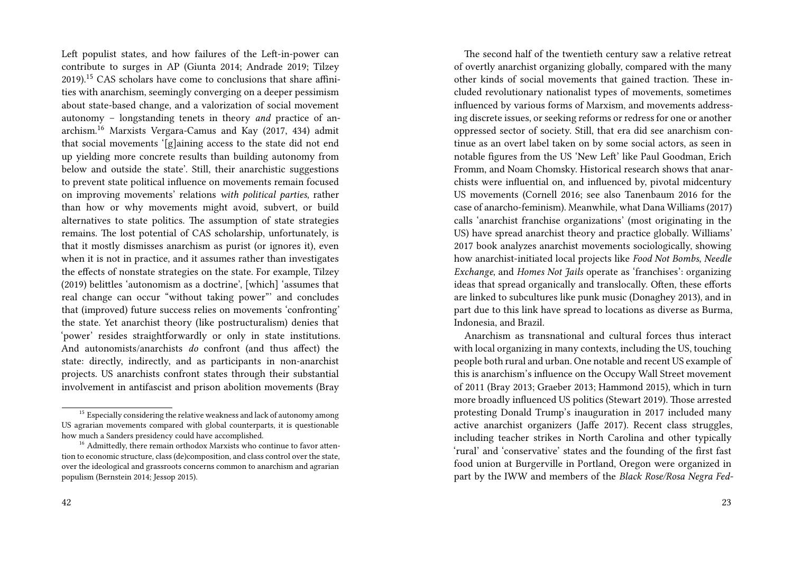Left populist states, and how failures of the Left-in-power can contribute to surges in AP (Giunta 2014; Andrade 2019; Tilzey 2019).<sup>15</sup> CAS scholars have come to conclusions that share affinities with anarchism, seemingly converging on a deeper pessimism about state-based change, and a valorization of social movement autonomy – longstanding tenets in theory *and* practice of anarchism.<sup>16</sup> Marxists Vergara-Camus and Kay (2017, 434) admit that social movements '[g]aining access to the state did not end up yielding more concrete results than building autonomy from below and outside the state'. Still, their anarchistic suggestions to prevent state political influence on movements remain focused on improving movements' relations *with political parties*, rather than how or why movements might avoid, subvert, or build alternatives to state politics. The assumption of state strategies remains. The lost potential of CAS scholarship, unfortunately, is that it mostly dismisses anarchism as purist (or ignores it), even when it is not in practice, and it assumes rather than investigates the effects of nonstate strategies on the state. For example, Tilzey (2019) belittles 'autonomism as a doctrine', [which] 'assumes that real change can occur "without taking power"' and concludes that (improved) future success relies on movements 'confronting' the state. Yet anarchist theory (like postructuralism) denies that 'power' resides straightforwardly or only in state institutions. And autonomists/anarchists *do* confront (and thus affect) the state: directly, indirectly, and as participants in non-anarchist projects. US anarchists confront states through their substantial involvement in antifascist and prison abolition movements (Bray

The second half of the twentieth century saw a relative retreat of overtly anarchist organizing globally, compared with the many other kinds of social movements that gained traction. These included revolutionary nationalist types of movements, sometimes influenced by various forms of Marxism, and movements addressing discrete issues, or seeking reforms or redress for one or another oppressed sector of society. Still, that era did see anarchism continue as an overt label taken on by some social actors, as seen in notable figures from the US 'New Left' like Paul Goodman, Erich Fromm, and Noam Chomsky. Historical research shows that anarchists were influential on, and influenced by, pivotal midcentury US movements (Cornell 2016; see also Tanenbaum 2016 for the case of anarcho-feminism). Meanwhile, what Dana Williams (2017) calls 'anarchist franchise organizations' (most originating in the US) have spread anarchist theory and practice globally. Williams' 2017 book analyzes anarchist movements sociologically, showing how anarchist-initiated local projects like *Food Not Bombs*, *Needle Exchange*, and *Homes Not Jails* operate as 'franchises': organizing ideas that spread organically and translocally. Often, these efforts are linked to subcultures like punk music (Donaghey 2013), and in part due to this link have spread to locations as diverse as Burma, Indonesia, and Brazil.

Anarchism as transnational and cultural forces thus interact with local organizing in many contexts, including the US, touching people both rural and urban. One notable and recent US example of this is anarchism's influence on the Occupy Wall Street movement of 2011 (Bray 2013; Graeber 2013; Hammond 2015), which in turn more broadly influenced US politics (Stewart 2019). Those arrested protesting Donald Trump's inauguration in 2017 included many active anarchist organizers (Jaffe 2017). Recent class struggles, including teacher strikes in North Carolina and other typically 'rural' and 'conservative' states and the founding of the first fast food union at Burgerville in Portland, Oregon were organized in part by the IWW and members of the *Black Rose/Rosa Negra Fed-*

 $15$  Especially considering the relative weakness and lack of autonomy among US agrarian movements compared with global counterparts, it is questionable how much a Sanders presidency could have accomplished.

<sup>&</sup>lt;sup>16</sup> Admittedly, there remain orthodox Marxists who continue to favor attention to economic structure, class (de)composition, and class control over the state, over the ideological and grassroots concerns common to anarchism and agrarian populism (Bernstein 2014; Jessop 2015).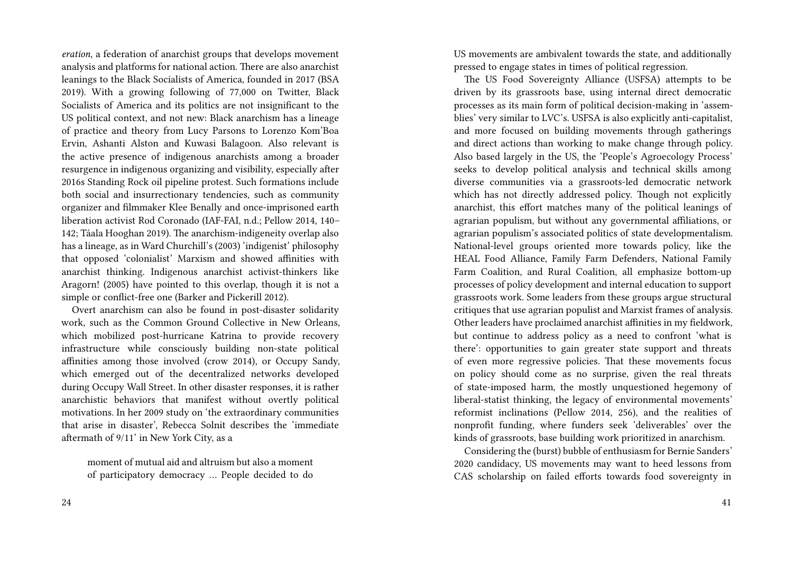*eration*, a federation of anarchist groups that develops movement analysis and platforms for national action. There are also anarchist leanings to the Black Socialists of America, founded in 2017 (BSA 2019). With a growing following of 77,000 on Twitter, Black Socialists of America and its politics are not insignificant to the US political context, and not new: Black anarchism has a lineage of practice and theory from Lucy Parsons to Lorenzo Kom'Boa Ervin, Ashanti Alston and Kuwasi Balagoon. Also relevant is the active presence of indigenous anarchists among a broader resurgence in indigenous organizing and visibility, especially after 2016s Standing Rock oil pipeline protest. Such formations include both social and insurrectionary tendencies, such as community organizer and filmmaker Klee Benally and once-imprisoned earth liberation activist Rod Coronado (IAF-FAI, n.d.; Pellow 2014, 140– 142; Táala Hooghan 2019). The anarchism-indigeneity overlap also has a lineage, as in Ward Churchill's (2003) 'indigenist' philosophy that opposed 'colonialist' Marxism and showed affinities with anarchist thinking. Indigenous anarchist activist-thinkers like Aragorn! (2005) have pointed to this overlap, though it is not a simple or conflict-free one (Barker and Pickerill 2012).

Overt anarchism can also be found in post-disaster solidarity work, such as the Common Ground Collective in New Orleans, which mobilized post-hurricane Katrina to provide recovery infrastructure while consciously building non-state political affinities among those involved (crow 2014), or Occupy Sandy, which emerged out of the decentralized networks developed during Occupy Wall Street. In other disaster responses, it is rather anarchistic behaviors that manifest without overtly political motivations. In her 2009 study on 'the extraordinary communities that arise in disaster', Rebecca Solnit describes the 'immediate aftermath of 9/11' in New York City, as a

moment of mutual aid and altruism but also a moment of participatory democracy … People decided to do US movements are ambivalent towards the state, and additionally pressed to engage states in times of political regression.

The US Food Sovereignty Alliance (USFSA) attempts to be driven by its grassroots base, using internal direct democratic processes as its main form of political decision-making in 'assemblies' very similar to LVC's. USFSA is also explicitly anti-capitalist, and more focused on building movements through gatherings and direct actions than working to make change through policy. Also based largely in the US, the 'People's Agroecology Process' seeks to develop political analysis and technical skills among diverse communities via a grassroots-led democratic network which has not directly addressed policy. Though not explicitly anarchist, this effort matches many of the political leanings of agrarian populism, but without any governmental affiliations, or agrarian populism's associated politics of state developmentalism. National-level groups oriented more towards policy, like the HEAL Food Alliance, Family Farm Defenders, National Family Farm Coalition, and Rural Coalition, all emphasize bottom-up processes of policy development and internal education to support grassroots work. Some leaders from these groups argue structural critiques that use agrarian populist and Marxist frames of analysis. Other leaders have proclaimed anarchist affinities in my fieldwork, but continue to address policy as a need to confront 'what is there': opportunities to gain greater state support and threats of even more regressive policies. That these movements focus on policy should come as no surprise, given the real threats of state-imposed harm, the mostly unquestioned hegemony of liberal-statist thinking, the legacy of environmental movements' reformist inclinations (Pellow 2014, 256), and the realities of nonprofit funding, where funders seek 'deliverables' over the kinds of grassroots, base building work prioritized in anarchism.

Considering the (burst) bubble of enthusiasm for Bernie Sanders' 2020 candidacy, US movements may want to heed lessons from CAS scholarship on failed efforts towards food sovereignty in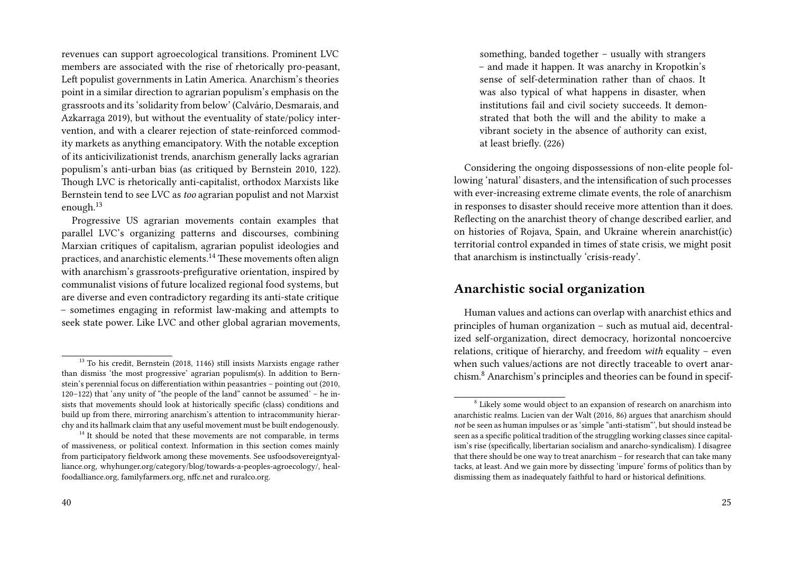revenues can support agroecological transitions. Prominent LVC members are associated with the rise of rhetorically pro-peasant, Left populist governments in Latin America. Anarchism's theories point in a similar direction to agrarian populism's emphasis on the grassroots and its 'solidarity from below' (Calvário, Desmarais, and Azkarraga 2019), but without the eventuality of state/policy intervention, and with a clearer rejection of state-reinforced commodity markets as anything emancipatory. With the notable exception of its anticivilizationist trends, anarchism generally lacks agrarian populism's anti-urban bias (as critiqued by Bernstein 2010, 122). Though LVC is rhetorically anti-capitalist, orthodox Marxists like Bernstein tend to see LVC as *too* agrarian populist and not Marxist enough.<sup>13</sup>

Progressive US agrarian movements contain examples that parallel LVC's organizing patterns and discourses, combining Marxian critiques of capitalism, agrarian populist ideologies and practices, and anarchistic elements.<sup>14</sup> These movements often align with anarchism's grassroots-prefigurative orientation, inspired by communalist visions of future localized regional food systems, but are diverse and even contradictory regarding its anti-state critique – sometimes engaging in reformist law-making and attempts to seek state power. Like LVC and other global agrarian movements, something, banded together – usually with strangers – and made it happen. It was anarchy in Kropotkin's sense of self-determination rather than of chaos. It was also typical of what happens in disaster, when institutions fail and civil society succeeds. It demonstrated that both the will and the ability to make a vibrant society in the absence of authority can exist, at least briefly. (226)

Considering the ongoing dispossessions of non-elite people following 'natural' disasters, and the intensification of such processes with ever-increasing extreme climate events, the role of anarchism in responses to disaster should receive more attention than it does. Reflecting on the anarchist theory of change described earlier, and on histories of Rojava, Spain, and Ukraine wherein anarchist(ic) territorial control expanded in times of state crisis, we might posit that anarchism is instinctually 'crisis-ready'.

# **Anarchistic social organization**

Human values and actions can overlap with anarchist ethics and principles of human organization – such as mutual aid, decentralized self-organization, direct democracy, horizontal noncoercive relations, critique of hierarchy, and freedom *with* equality – even when such values/actions are not directly traceable to overt anarchism.<sup>8</sup> Anarchism's principles and theories can be found in specif-

 $13$  To his credit, Bernstein (2018, 1146) still insists Marxists engage rather than dismiss 'the most progressive' agrarian populism(s). In addition to Bernstein's perennial focus on differentiation within peasantries – pointing out (2010, 120–122) that 'any unity of "the people of the land" cannot be assumed' – he insists that movements should look at historically specific (class) conditions and build up from there, mirroring anarchism's attention to intracommunity hierarchy and its hallmark claim that any useful movement must be built endogenously.

 $14$  It should be noted that these movements are not comparable, in terms of massiveness, or political context. Information in this section comes mainly from participatory fieldwork among these movements. See usfoodsovereigntyalliance.org, whyhunger.org/category/blog/towards-a-peoples-agroecology/, healfoodalliance.org, familyfarmers.org, nffc.net and ruralco.org.

<sup>&</sup>lt;sup>8</sup> Likely some would object to an expansion of research on anarchism into anarchistic realms. Lucien van der Walt (2016, 86) argues that anarchism should *not* be seen as human impulses or as 'simple "anti-statism"', but should instead be seen as a specific political tradition of the struggling working classes since capitalism's rise (specifically, libertarian socialism and anarcho-syndicalism). I disagree that there should be one way to treat anarchism – for research that can take many tacks, at least. And we gain more by dissecting 'impure' forms of politics than by dismissing them as inadequately faithful to hard or historical definitions.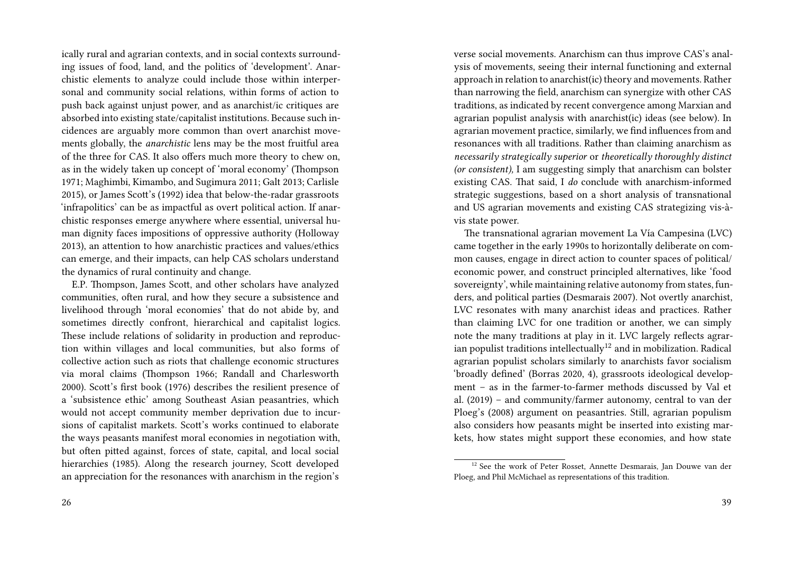ically rural and agrarian contexts, and in social contexts surrounding issues of food, land, and the politics of 'development'. Anarchistic elements to analyze could include those within interpersonal and community social relations, within forms of action to push back against unjust power, and as anarchist/ic critiques are absorbed into existing state/capitalist institutions. Because such incidences are arguably more common than overt anarchist movements globally, the *anarchistic* lens may be the most fruitful area of the three for CAS. It also offers much more theory to chew on, as in the widely taken up concept of 'moral economy' (Thompson 1971; Maghimbi, Kimambo, and Sugimura 2011; Galt 2013; Carlisle 2015), or James Scott's (1992) idea that below-the-radar grassroots 'infrapolitics' can be as impactful as overt political action. If anarchistic responses emerge anywhere where essential, universal human dignity faces impositions of oppressive authority (Holloway 2013), an attention to how anarchistic practices and values/ethics can emerge, and their impacts, can help CAS scholars understand the dynamics of rural continuity and change.

E.P. Thompson, James Scott, and other scholars have analyzed communities, often rural, and how they secure a subsistence and livelihood through 'moral economies' that do not abide by, and sometimes directly confront, hierarchical and capitalist logics. These include relations of solidarity in production and reproduction within villages and local communities, but also forms of collective action such as riots that challenge economic structures via moral claims (Thompson 1966; Randall and Charlesworth 2000). Scott's first book (1976) describes the resilient presence of a 'subsistence ethic' among Southeast Asian peasantries, which would not accept community member deprivation due to incursions of capitalist markets. Scott's works continued to elaborate the ways peasants manifest moral economies in negotiation with, but often pitted against, forces of state, capital, and local social hierarchies (1985). Along the research journey, Scott developed an appreciation for the resonances with anarchism in the region's verse social movements. Anarchism can thus improve CAS's analysis of movements, seeing their internal functioning and external approach in relation to anarchist(ic) theory and movements. Rather than narrowing the field, anarchism can synergize with other CAS traditions, as indicated by recent convergence among Marxian and agrarian populist analysis with anarchist(ic) ideas (see below). In agrarian movement practice, similarly, we find influences from and resonances with all traditions. Rather than claiming anarchism as *necessarily strategically superior* or *theoretically thoroughly distinct (or consistent),* I am suggesting simply that anarchism can bolster existing CAS. That said, I *do* conclude with anarchism-informed strategic suggestions, based on a short analysis of transnational and US agrarian movements and existing CAS strategizing vis-àvis state power.

The transnational agrarian movement La Vía Campesina (LVC) came together in the early 1990s to horizontally deliberate on common causes, engage in direct action to counter spaces of political/ economic power, and construct principled alternatives, like 'food sovereignty', while maintaining relative autonomy from states, funders, and political parties (Desmarais 2007). Not overtly anarchist, LVC resonates with many anarchist ideas and practices. Rather than claiming LVC for one tradition or another, we can simply note the many traditions at play in it. LVC largely reflects agrarian populist traditions intellectually<sup>12</sup> and in mobilization. Radical agrarian populist scholars similarly to anarchists favor socialism 'broadly defined' (Borras 2020, 4), grassroots ideological development – as in the farmer-to-farmer methods discussed by Val et al. (2019) – and community/farmer autonomy, central to van der Ploeg's (2008) argument on peasantries. Still, agrarian populism also considers how peasants might be inserted into existing markets, how states might support these economies, and how state

<sup>&</sup>lt;sup>12</sup> See the work of Peter Rosset, Annette Desmarais, Jan Douwe van der Ploeg, and Phil McMichael as representations of this tradition.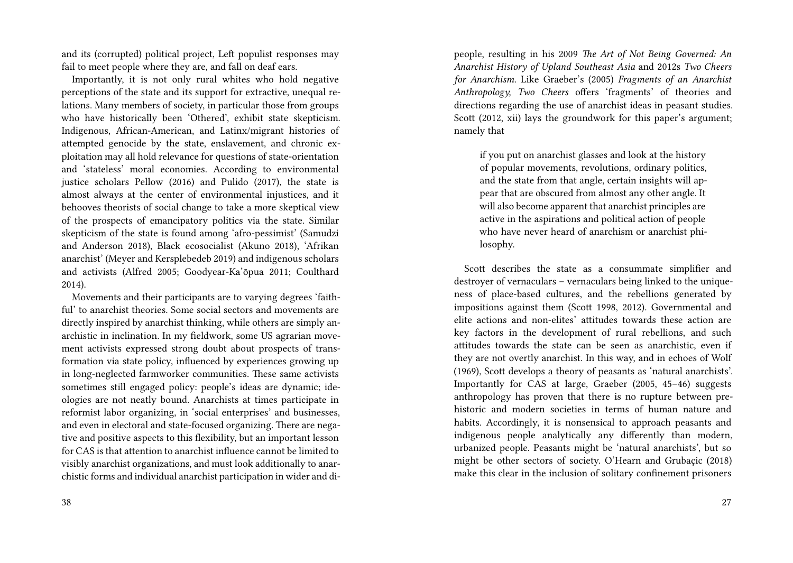and its (corrupted) political project, Left populist responses may fail to meet people where they are, and fall on deaf ears.

Importantly, it is not only rural whites who hold negative perceptions of the state and its support for extractive, unequal relations. Many members of society, in particular those from groups who have historically been 'Othered', exhibit state skepticism. Indigenous, African-American, and Latinx/migrant histories of attempted genocide by the state, enslavement, and chronic exploitation may all hold relevance for questions of state-orientation and 'stateless' moral economies. According to environmental justice scholars Pellow (2016) and Pulido (2017), the state is almost always at the center of environmental injustices, and it behooves theorists of social change to take a more skeptical view of the prospects of emancipatory politics via the state. Similar skepticism of the state is found among 'afro-pessimist' (Samudzi and Anderson 2018), Black ecosocialist (Akuno 2018), 'Afrikan anarchist' (Meyer and Kersplebedeb 2019) and indigenous scholars and activists (Alfred 2005; Goodyear-Ka'ōpua 2011; Coulthard 2014).

Movements and their participants are to varying degrees 'faithful' to anarchist theories. Some social sectors and movements are directly inspired by anarchist thinking, while others are simply anarchistic in inclination. In my fieldwork, some US agrarian movement activists expressed strong doubt about prospects of transformation via state policy, influenced by experiences growing up in long-neglected farmworker communities. These same activists sometimes still engaged policy: people's ideas are dynamic; ideologies are not neatly bound. Anarchists at times participate in reformist labor organizing, in 'social enterprises' and businesses, and even in electoral and state-focused organizing. There are negative and positive aspects to this flexibility, but an important lesson for CAS is that attention to anarchist influence cannot be limited to visibly anarchist organizations, and must look additionally to anarchistic forms and individual anarchist participation in wider and dipeople, resulting in his 2009 *The Art of Not Being Governed: An Anarchist History of Upland Southeast Asia* and 2012s *Two Cheers for Anarchism.* Like Graeber's (2005) *Fragments of an Anarchist Anthropology, Two Cheers* offers 'fragments' of theories and directions regarding the use of anarchist ideas in peasant studies. Scott (2012, xii) lays the groundwork for this paper's argument; namely that

if you put on anarchist glasses and look at the history of popular movements, revolutions, ordinary politics, and the state from that angle, certain insights will appear that are obscured from almost any other angle. It will also become apparent that anarchist principles are active in the aspirations and political action of people who have never heard of anarchism or anarchist philosophy.

Scott describes the state as a consummate simplifier and destroyer of vernaculars – vernaculars being linked to the uniqueness of place-based cultures, and the rebellions generated by impositions against them (Scott 1998, 2012). Governmental and elite actions and non-elites' attitudes towards these action are key factors in the development of rural rebellions, and such attitudes towards the state can be seen as anarchistic, even if they are not overtly anarchist. In this way, and in echoes of Wolf (1969), Scott develops a theory of peasants as 'natural anarchists'. Importantly for CAS at large, Graeber (2005, 45–46) suggests anthropology has proven that there is no rupture between prehistoric and modern societies in terms of human nature and habits. Accordingly, it is nonsensical to approach peasants and indigenous people analytically any differently than modern, urbanized people. Peasants might be 'natural anarchists', but so might be other sectors of society. O'Hearn and Grubaçic (2018) make this clear in the inclusion of solitary confinement prisoners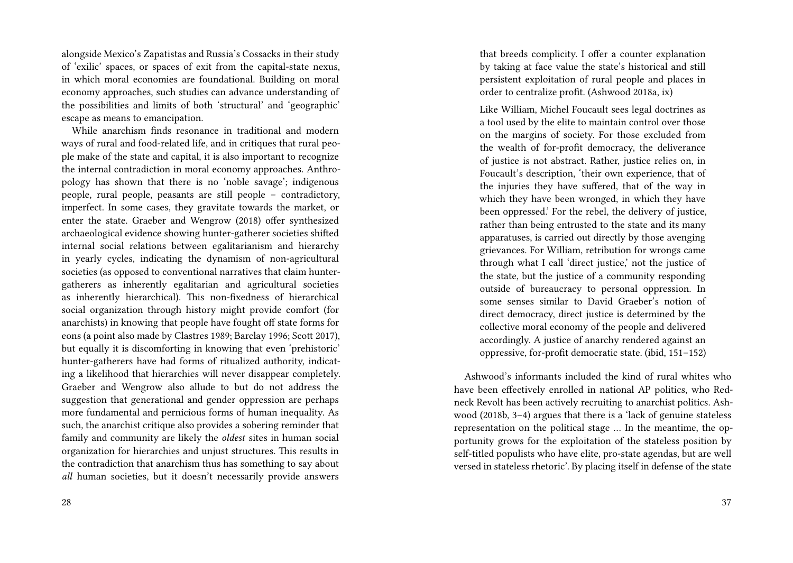alongside Mexico's Zapatistas and Russia's Cossacks in their study of 'exilic' spaces, or spaces of exit from the capital-state nexus, in which moral economies are foundational. Building on moral economy approaches, such studies can advance understanding of the possibilities and limits of both 'structural' and 'geographic' escape as means to emancipation.

While anarchism finds resonance in traditional and modern ways of rural and food-related life, and in critiques that rural people make of the state and capital, it is also important to recognize the internal contradiction in moral economy approaches. Anthropology has shown that there is no 'noble savage'; indigenous people, rural people, peasants are still people – contradictory, imperfect. In some cases, they gravitate towards the market, or enter the state. Graeber and Wengrow (2018) offer synthesized archaeological evidence showing hunter-gatherer societies shifted internal social relations between egalitarianism and hierarchy in yearly cycles, indicating the dynamism of non-agricultural societies (as opposed to conventional narratives that claim huntergatherers as inherently egalitarian and agricultural societies as inherently hierarchical). This non-fixedness of hierarchical social organization through history might provide comfort (for anarchists) in knowing that people have fought off state forms for eons (a point also made by Clastres 1989; Barclay 1996; Scott 2017), but equally it is discomforting in knowing that even 'prehistoric' hunter-gatherers have had forms of ritualized authority, indicating a likelihood that hierarchies will never disappear completely. Graeber and Wengrow also allude to but do not address the suggestion that generational and gender oppression are perhaps more fundamental and pernicious forms of human inequality. As such, the anarchist critique also provides a sobering reminder that family and community are likely the *oldest* sites in human social organization for hierarchies and unjust structures. This results in the contradiction that anarchism thus has something to say about *all* human societies, but it doesn't necessarily provide answers

that breeds complicity. I offer a counter explanation by taking at face value the state's historical and still persistent exploitation of rural people and places in order to centralize profit. (Ashwood 2018a, ix)

Like William, Michel Foucault sees legal doctrines as a tool used by the elite to maintain control over those on the margins of society. For those excluded from the wealth of for-profit democracy, the deliverance of justice is not abstract. Rather, justice relies on, in Foucault's description, 'their own experience, that of the injuries they have suffered, that of the way in which they have been wronged, in which they have been oppressed.' For the rebel, the delivery of justice, rather than being entrusted to the state and its many apparatuses, is carried out directly by those avenging grievances. For William, retribution for wrongs came through what I call 'direct justice,' not the justice of the state, but the justice of a community responding outside of bureaucracy to personal oppression. In some senses similar to David Graeber's notion of direct democracy, direct justice is determined by the collective moral economy of the people and delivered accordingly. A justice of anarchy rendered against an oppressive, for-profit democratic state. (ibid, 151–152)

Ashwood's informants included the kind of rural whites who have been effectively enrolled in national AP politics, who Redneck Revolt has been actively recruiting to anarchist politics. Ashwood (2018b, 3–4) argues that there is a 'lack of genuine stateless representation on the political stage … In the meantime, the opportunity grows for the exploitation of the stateless position by self-titled populists who have elite, pro-state agendas, but are well versed in stateless rhetoric'. By placing itself in defense of the state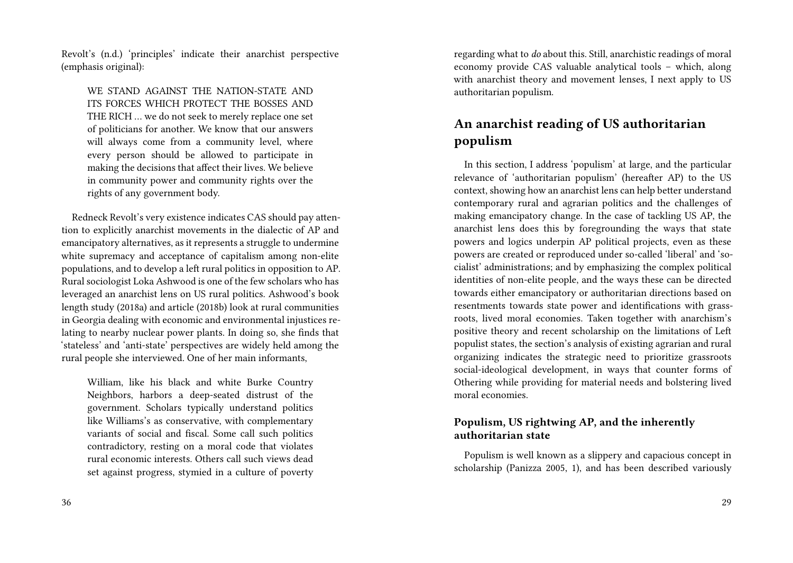Revolt's (n.d.) 'principles' indicate their anarchist perspective (emphasis original):

WE STAND AGAINST THE NATION-STATE AND ITS FORCES WHICH PROTECT THE BOSSES AND THE RICH … we do not seek to merely replace one set of politicians for another. We know that our answers will always come from a community level, where every person should be allowed to participate in making the decisions that affect their lives. We believe in community power and community rights over the rights of any government body.

Redneck Revolt's very existence indicates CAS should pay attention to explicitly anarchist movements in the dialectic of AP and emancipatory alternatives, as it represents a struggle to undermine white supremacy and acceptance of capitalism among non-elite populations, and to develop a left rural politics in opposition to AP. Rural sociologist Loka Ashwood is one of the few scholars who has leveraged an anarchist lens on US rural politics. Ashwood's book length study (2018a) and article (2018b) look at rural communities in Georgia dealing with economic and environmental injustices relating to nearby nuclear power plants. In doing so, she finds that 'stateless' and 'anti-state' perspectives are widely held among the rural people she interviewed. One of her main informants,

William, like his black and white Burke Country Neighbors, harbors a deep-seated distrust of the government. Scholars typically understand politics like Williams's as conservative, with complementary variants of social and fiscal. Some call such politics contradictory, resting on a moral code that violates rural economic interests. Others call such views dead set against progress, stymied in a culture of poverty

36

regarding what to *do* about this. Still, anarchistic readings of moral economy provide CAS valuable analytical tools – which, along with anarchist theory and movement lenses, I next apply to US authoritarian populism.

# **An anarchist reading of US authoritarian populism**

In this section, I address 'populism' at large, and the particular relevance of 'authoritarian populism' (hereafter AP) to the US context, showing how an anarchist lens can help better understand contemporary rural and agrarian politics and the challenges of making emancipatory change. In the case of tackling US AP, the anarchist lens does this by foregrounding the ways that state powers and logics underpin AP political projects, even as these powers are created or reproduced under so-called 'liberal' and 'socialist' administrations; and by emphasizing the complex political identities of non-elite people, and the ways these can be directed towards either emancipatory or authoritarian directions based on resentments towards state power and identifications with grassroots, lived moral economies. Taken together with anarchism's positive theory and recent scholarship on the limitations of Left populist states, the section's analysis of existing agrarian and rural organizing indicates the strategic need to prioritize grassroots social-ideological development, in ways that counter forms of Othering while providing for material needs and bolstering lived moral economies.

#### **Populism, US rightwing AP, and the inherently authoritarian state**

Populism is well known as a slippery and capacious concept in scholarship (Panizza 2005, 1), and has been described variously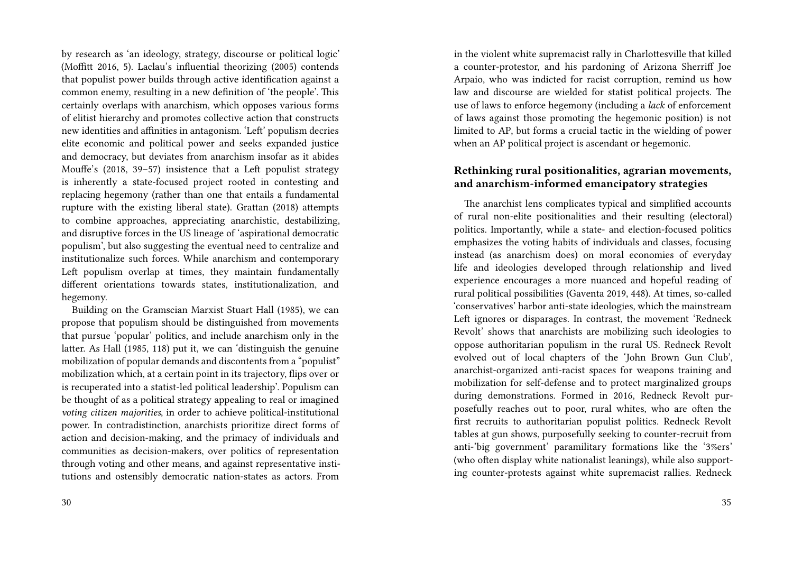by research as 'an ideology, strategy, discourse or political logic' (Moffitt 2016, 5). Laclau's influential theorizing (2005) contends that populist power builds through active identification against a common enemy, resulting in a new definition of 'the people'. This certainly overlaps with anarchism, which opposes various forms of elitist hierarchy and promotes collective action that constructs new identities and affinities in antagonism. 'Left' populism decries elite economic and political power and seeks expanded justice and democracy, but deviates from anarchism insofar as it abides Mouffe's (2018, 39–57) insistence that a Left populist strategy is inherently a state-focused project rooted in contesting and replacing hegemony (rather than one that entails a fundamental rupture with the existing liberal state). Grattan (2018) attempts to combine approaches, appreciating anarchistic, destabilizing, and disruptive forces in the US lineage of 'aspirational democratic populism', but also suggesting the eventual need to centralize and institutionalize such forces. While anarchism and contemporary Left populism overlap at times, they maintain fundamentally different orientations towards states, institutionalization, and hegemony.

Building on the Gramscian Marxist Stuart Hall (1985), we can propose that populism should be distinguished from movements that pursue 'popular' politics, and include anarchism only in the latter. As Hall (1985, 118) put it, we can 'distinguish the genuine mobilization of popular demands and discontents from a "populist" mobilization which, at a certain point in its trajectory, flips over or is recuperated into a statist-led political leadership'. Populism can be thought of as a political strategy appealing to real or imagined *voting citizen majorities*, in order to achieve political-institutional power. In contradistinction, anarchists prioritize direct forms of action and decision-making, and the primacy of individuals and communities as decision-makers, over politics of representation through voting and other means, and against representative institutions and ostensibly democratic nation-states as actors. From in the violent white supremacist rally in Charlottesville that killed a counter-protestor, and his pardoning of Arizona Sherriff Joe Arpaio, who was indicted for racist corruption, remind us how law and discourse are wielded for statist political projects. The use of laws to enforce hegemony (including a *lack* of enforcement of laws against those promoting the hegemonic position) is not limited to AP, but forms a crucial tactic in the wielding of power when an AP political project is ascendant or hegemonic.

#### **Rethinking rural positionalities, agrarian movements, and anarchism-informed emancipatory strategies**

The anarchist lens complicates typical and simplified accounts of rural non-elite positionalities and their resulting (electoral) politics. Importantly, while a state- and election-focused politics emphasizes the voting habits of individuals and classes, focusing instead (as anarchism does) on moral economies of everyday life and ideologies developed through relationship and lived experience encourages a more nuanced and hopeful reading of rural political possibilities (Gaventa 2019, 448). At times, so-called 'conservatives' harbor anti-state ideologies, which the mainstream Left ignores or disparages. In contrast, the movement 'Redneck Revolt' shows that anarchists are mobilizing such ideologies to oppose authoritarian populism in the rural US. Redneck Revolt evolved out of local chapters of the 'John Brown Gun Club', anarchist-organized anti-racist spaces for weapons training and mobilization for self-defense and to protect marginalized groups during demonstrations. Formed in 2016, Redneck Revolt purposefully reaches out to poor, rural whites, who are often the first recruits to authoritarian populist politics. Redneck Revolt tables at gun shows, purposefully seeking to counter-recruit from anti-'big government' paramilitary formations like the '3%ers' (who often display white nationalist leanings), while also supporting counter-protests against white supremacist rallies. Redneck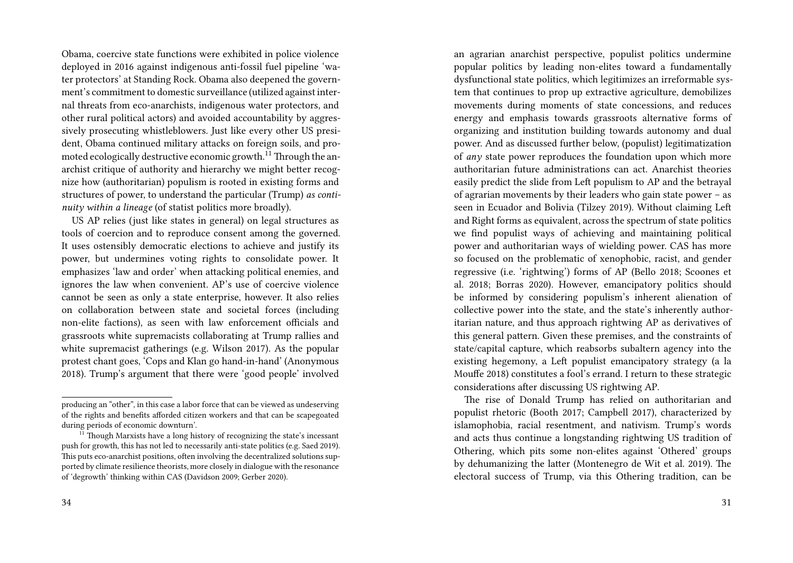Obama, coercive state functions were exhibited in police violence deployed in 2016 against indigenous anti-fossil fuel pipeline 'water protectors' at Standing Rock. Obama also deepened the government's commitment to domestic surveillance (utilized against internal threats from eco-anarchists, indigenous water protectors, and other rural political actors) and avoided accountability by aggressively prosecuting whistleblowers. Just like every other US president, Obama continued military attacks on foreign soils, and promoted ecologically destructive economic growth.<sup>11</sup> Through the anarchist critique of authority and hierarchy we might better recognize how (authoritarian) populism is rooted in existing forms and structures of power, to understand the particular (Trump) *as continuity within a lineage* (of statist politics more broadly).

US AP relies (just like states in general) on legal structures as tools of coercion and to reproduce consent among the governed. It uses ostensibly democratic elections to achieve and justify its power, but undermines voting rights to consolidate power. It emphasizes 'law and order' when attacking political enemies, and ignores the law when convenient. AP's use of coercive violence cannot be seen as only a state enterprise, however. It also relies on collaboration between state and societal forces (including non-elite factions), as seen with law enforcement officials and grassroots white supremacists collaborating at Trump rallies and white supremacist gatherings (e.g. Wilson 2017). As the popular protest chant goes, 'Cops and Klan go hand-in-hand' (Anonymous 2018). Trump's argument that there were 'good people' involved

an agrarian anarchist perspective, populist politics undermine popular politics by leading non-elites toward a fundamentally dysfunctional state politics, which legitimizes an irreformable system that continues to prop up extractive agriculture, demobilizes movements during moments of state concessions, and reduces energy and emphasis towards grassroots alternative forms of organizing and institution building towards autonomy and dual power. And as discussed further below, (populist) legitimatization of *any* state power reproduces the foundation upon which more authoritarian future administrations can act. Anarchist theories easily predict the slide from Left populism to AP and the betrayal of agrarian movements by their leaders who gain state power – as seen in Ecuador and Bolivia (Tilzey 2019). Without claiming Left and Right forms as equivalent, across the spectrum of state politics we find populist ways of achieving and maintaining political power and authoritarian ways of wielding power. CAS has more so focused on the problematic of xenophobic, racist, and gender regressive (i.e. 'rightwing') forms of AP (Bello 2018; Scoones et al. 2018; Borras 2020). However, emancipatory politics should be informed by considering populism's inherent alienation of collective power into the state, and the state's inherently authoritarian nature, and thus approach rightwing AP as derivatives of this general pattern. Given these premises, and the constraints of state/capital capture, which reabsorbs subaltern agency into the existing hegemony, a Left populist emancipatory strategy (a la Mouffe 2018) constitutes a fool's errand. I return to these strategic considerations after discussing US rightwing AP.

The rise of Donald Trump has relied on authoritarian and populist rhetoric (Booth 2017; Campbell 2017), characterized by islamophobia, racial resentment, and nativism. Trump's words and acts thus continue a longstanding rightwing US tradition of Othering, which pits some non-elites against 'Othered' groups by dehumanizing the latter (Montenegro de Wit et al. 2019). The electoral success of Trump, via this Othering tradition, can be

producing an "other", in this case a labor force that can be viewed as undeserving of the rights and benefits afforded citizen workers and that can be scapegoated during periods of economic downturn'.

<sup>&</sup>lt;sup>11</sup> Though Marxists have a long history of recognizing the state's incessant push for growth, this has not led to necessarily anti-state politics (e.g. Saed 2019). This puts eco-anarchist positions, often involving the decentralized solutions supported by climate resilience theorists, more closely in dialogue with the resonance of 'degrowth' thinking within CAS (Davidson 2009; Gerber 2020).